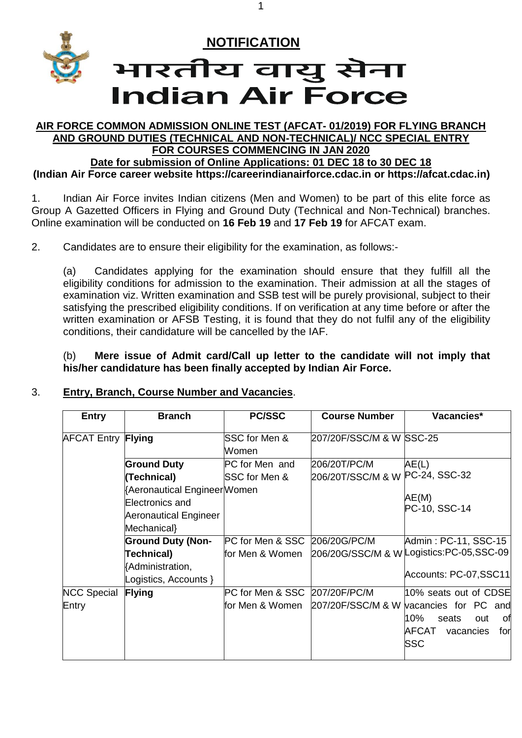

#### **AIR FORCE COMMON ADMISSION ONLINE TEST (AFCAT- 01/2019) FOR FLYING BRANCH AND GROUND DUTIES (TECHNICAL AND NON-TECHNICAL)/ NCC SPECIAL ENTRY FOR COURSES COMMENCING IN JAN 2020 Date for submission of Online Applications: 01 DEC 18 to 30 DEC 18**

1

**(Indian Air Force career website [https://careerindianairforce.cdac.in](https://careerindianairforce.cdac.in/) or [https://afcat.cdac.in\)](https://afcat.cdac.in/)**

1. Indian Air Force invites Indian citizens (Men and Women) to be part of this elite force as Group A Gazetted Officers in Flying and Ground Duty (Technical and Non-Technical) branches. Online examination will be conducted on **16 Feb 19** and **17 Feb 19** for AFCAT exam.

2. Candidates are to ensure their eligibility for the examination, as follows:-

(a) Candidates applying for the examination should ensure that they fulfill all the eligibility conditions for admission to the examination. Their admission at all the stages of examination viz. Written examination and SSB test will be purely provisional, subject to their satisfying the prescribed eligibility conditions. If on verification at any time before or after the written examination or AFSB Testing, it is found that they do not fulfil any of the eligibility conditions, their candidature will be cancelled by the IAF.

(b) **Mere issue of Admit card/Call up letter to the candidate will not imply that his/her candidature has been finally accepted by Indian Air Force.**

#### 3. **Entry, Branch, Course Number and Vacancies**.

| <b>Entry</b>              | <b>Branch</b>                                                                          | <b>PC/SSC</b>                          | <b>Course Number</b>                            | Vacancies*                                                           |
|---------------------------|----------------------------------------------------------------------------------------|----------------------------------------|-------------------------------------------------|----------------------------------------------------------------------|
| <b>AFCAT Entry Flying</b> |                                                                                        | SSC for Men &<br>Women                 | 207/20F/SSC/M & W SSC-25                        |                                                                      |
|                           | <b>Ground Duty</b><br>(Technical)                                                      | PC for Men and<br><b>SSC</b> for Men & | 206/20T/PC/M<br>206/20T/SSC/M & W PC-24, SSC-32 | AE(L)                                                                |
|                           | Aeronautical Engineer Women<br>Electronics and<br>Aeronautical Engineer<br>Mechanical} |                                        |                                                 | AE(M)<br>PC-10, SSC-14                                               |
|                           | <b>Ground Duty (Non-</b>                                                               | PC for Men & SSC 206/20G/PC/M          |                                                 | Admin: PC-11, SSC-15                                                 |
|                           | Technical)<br>Administration,<br>Logistics, Accounts }                                 | for Men & Women                        |                                                 | 206/20G/SSC/M & W Logistics:PC-05,SSC-09<br>Accounts: PC-07,SSC11    |
| <b>NCC Special</b>        | <b>Flying</b>                                                                          | PC for Men & SSC 207/20F/PC/M          |                                                 | 10% seats out of CDSE                                                |
| Entry                     |                                                                                        | lfor Men & Women                       |                                                 | 207/20F/SSC/M & W vacancies for PC and                               |
|                           |                                                                                        |                                        |                                                 | 10%<br>0f<br>seats<br>out<br>AFCAT<br>vacancies<br>for<br><b>SSC</b> |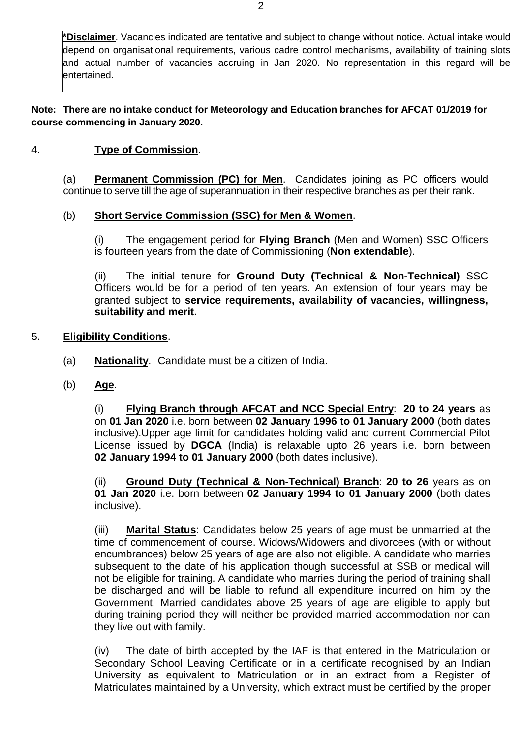**\*Disclaimer**. Vacancies indicated are tentative and subject to change without notice. Actual intake would depend on organisational requirements, various cadre control mechanisms, availability of training slots and actual number of vacancies accruing in Jan 2020. No representation in this regard will be entertained.

**Note: There are no intake conduct for Meteorology and Education branches for AFCAT 01/2019 for course commencing in January 2020.** 

### 4. **Type of Commission**.

(a) **Permanent Commission (PC) for Men**. Candidates joining as PC officers would continue to serve till the age of superannuation in their respective branches as per their rank.

### (b) **Short Service Commission (SSC) for Men & Women**.

(i) The engagement period for **Flying Branch** (Men and Women) SSC Officers is fourteen years from the date of Commissioning (**Non extendable**).

(ii) The initial tenure for **Ground Duty (Technical & Non-Technical)** SSC Officers would be for a period of ten years. An extension of four years may be granted subject to **service requirements, availability of vacancies, willingness, suitability and merit.**

### 5. **Eligibility Conditions**.

- (a) **Nationality**. Candidate must be a citizen of India.
- (b) **Age**.

(i) **Flying Branch through AFCAT and NCC Special Entry**: **20 to 24 years** as on **01 Jan 2020** i.e. born between **02 January 1996 to 01 January 2000** (both dates inclusive).Upper age limit for candidates holding valid and current Commercial Pilot License issued by **DGCA** (India) is relaxable upto 26 years i.e. born between **02 January 1994 to 01 January 2000** (both dates inclusive).

(ii) **Ground Duty (Technical & Non-Technical) Branch**: **20 to 26** years as on **01 Jan 2020** i.e. born between **02 January 1994 to 01 January 2000** (both dates inclusive).

(iii) **Marital Status**: Candidates below 25 years of age must be unmarried at the time of commencement of course. Widows/Widowers and divorcees (with or without encumbrances) below 25 years of age are also not eligible. A candidate who marries subsequent to the date of his application though successful at SSB or medical will not be eligible for training. A candidate who marries during the period of training shall be discharged and will be liable to refund all expenditure incurred on him by the Government. Married candidates above 25 years of age are eligible to apply but during training period they will neither be provided married accommodation nor can they live out with family.

(iv) The date of birth accepted by the IAF is that entered in the Matriculation or Secondary School Leaving Certificate or in a certificate recognised by an Indian University as equivalent to Matriculation or in an extract from a Register of Matriculates maintained by a University, which extract must be certified by the proper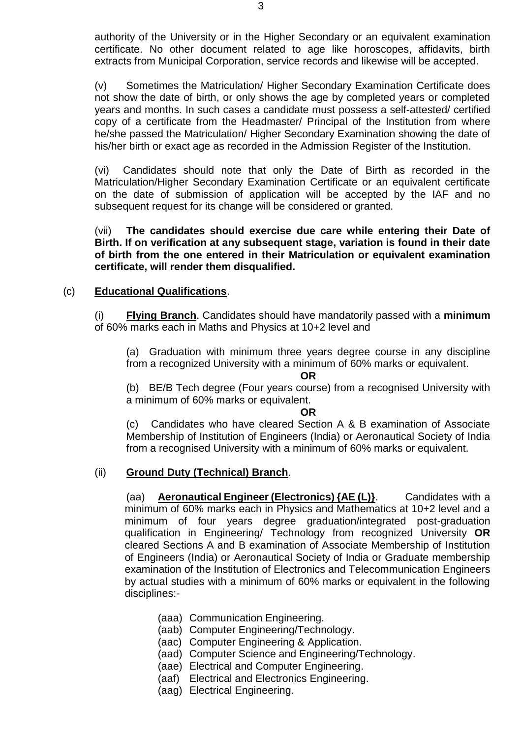authority of the University or in the Higher Secondary or an equivalent examination certificate. No other document related to age like horoscopes, affidavits, birth extracts from Municipal Corporation, service records and likewise will be accepted.

(v) Sometimes the Matriculation/ Higher Secondary Examination Certificate does not show the date of birth, or only shows the age by completed years or completed years and months. In such cases a candidate must possess a self-attested/ certified copy of a certificate from the Headmaster/ Principal of the Institution from where he/she passed the Matriculation/ Higher Secondary Examination showing the date of his/her birth or exact age as recorded in the Admission Register of the Institution.

(vi) Candidates should note that only the Date of Birth as recorded in the Matriculation/Higher Secondary Examination Certificate or an equivalent certificate on the date of submission of application will be accepted by the IAF and no subsequent request for its change will be considered or granted.

(vii) **The candidates should exercise due care while entering their Date of Birth. If on verification at any subsequent stage, variation is found in their date of birth from the one entered in their Matriculation or equivalent examination certificate, will render them disqualified.**

#### (c) **Educational Qualifications**.

(i) **Flying Branch**. Candidates should have mandatorily passed with a **minimum** of 60% marks each in Maths and Physics at 10+2 level and

(a) Graduation with minimum three years degree course in any discipline from a recognized University with a minimum of 60% marks or equivalent.

**OR**

(b) BE/B Tech degree (Four years course) from a recognised University with a minimum of 60% marks or equivalent.

#### **OR**

(c) Candidates who have cleared Section A & B examination of Associate Membership of Institution of Engineers (India) or Aeronautical Society of India from a recognised University with a minimum of 60% marks or equivalent.

#### (ii) **Ground Duty (Technical) Branch**.

(aa) **Aeronautical Engineer (Electronics) {AE (L)}**. Candidates with a minimum of 60% marks each in Physics and Mathematics at 10+2 level and a minimum of four years degree graduation/integrated post-graduation qualification in Engineering/ Technology from recognized University **OR**  cleared Sections A and B examination of Associate Membership of Institution of Engineers (India) or Aeronautical Society of India or Graduate membership examination of the Institution of Electronics and Telecommunication Engineers by actual studies with a minimum of 60% marks or equivalent in the following disciplines:-

- (aaa) Communication Engineering.
- (aab) Computer Engineering/Technology.
- (aac) Computer Engineering & Application.
- (aad) Computer Science and Engineering/Technology.
- (aae) Electrical and Computer Engineering.
- (aaf) Electrical and Electronics Engineering.
- (aag) Electrical Engineering.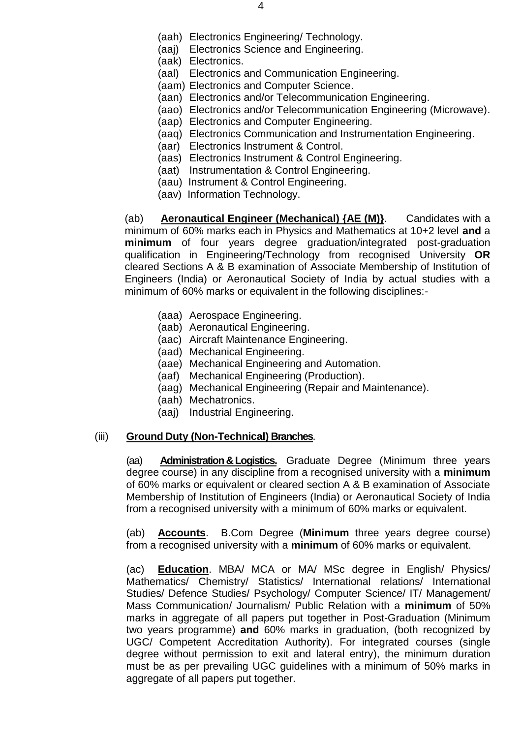- (aah) Electronics Engineering/ Technology.
- (aaj) Electronics Science and Engineering.
- (aak) Electronics.
- (aal) Electronics and Communication Engineering.
- (aam) Electronics and Computer Science.
- (aan) Electronics and/or Telecommunication Engineering.
- (aao) Electronics and/or Telecommunication Engineering (Microwave).
- (aap) Electronics and Computer Engineering.
- (aaq) Electronics Communication and Instrumentation Engineering.
- (aar) Electronics Instrument & Control.
- (aas) Electronics Instrument & Control Engineering.
- (aat) Instrumentation & Control Engineering.
- (aau) Instrument & Control Engineering.
- (aav) Information Technology.

(ab) **Aeronautical Engineer (Mechanical) {AE (M)}**. Candidates with a minimum of 60% marks each in Physics and Mathematics at 10+2 level **and** a **minimum** of four years degree graduation/integrated post-graduation qualification in Engineering/Technology from recognised University **OR**  cleared Sections A & B examination of Associate Membership of Institution of Engineers (India) or Aeronautical Society of India by actual studies with a minimum of 60% marks or equivalent in the following disciplines:-

- (aaa) Aerospace Engineering.
- (aab) Aeronautical Engineering.
- (aac) Aircraft Maintenance Engineering.
- (aad) Mechanical Engineering.
- (aae) Mechanical Engineering and Automation.
- (aaf) Mechanical Engineering (Production).
- (aag) Mechanical Engineering (Repair and Maintenance).
- (aah) Mechatronics.
- (aaj) Industrial Engineering.

#### (iii) **Ground Duty (Non-Technical) Branches**.

(aa) **Administration& Logistics.** Graduate Degree (Minimum three years degree course) in any discipline from a recognised university with a **minimum**  of 60% marks or equivalent or cleared section A & B examination of Associate Membership of Institution of Engineers (India) or Aeronautical Society of India from a recognised university with a minimum of 60% marks or equivalent.

(ab) **Accounts**. B.Com Degree (**Minimum** three years degree course) from a recognised university with a **minimum** of 60% marks or equivalent.

(ac) **Education**. MBA/ MCA or MA/ MSc degree in English/ Physics/ Mathematics/ Chemistry/ Statistics/ International relations/ International Studies/ Defence Studies/ Psychology/ Computer Science/ IT/ Management/ Mass Communication/ Journalism/ Public Relation with a **minimum** of 50% marks in aggregate of all papers put together in Post-Graduation (Minimum two years programme) **and** 60% marks in graduation, (both recognized by UGC/ Competent Accreditation Authority). For integrated courses (single degree without permission to exit and lateral entry), the minimum duration must be as per prevailing UGC guidelines with a minimum of 50% marks in aggregate of all papers put together.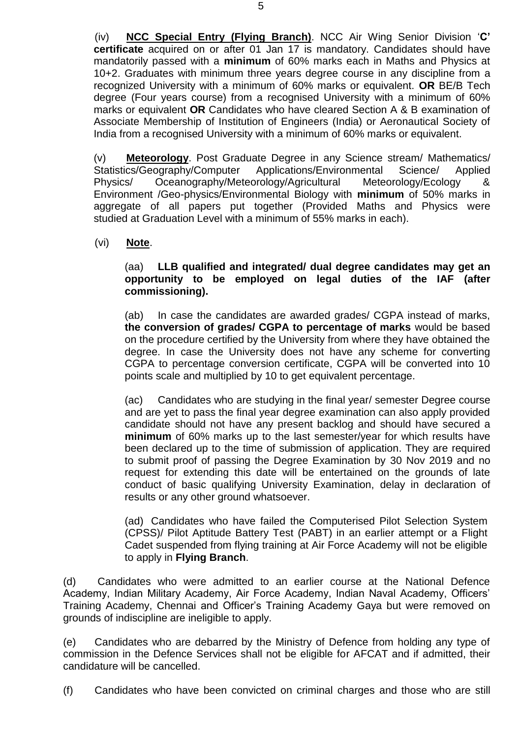(iv) **NCC Special Entry (Flying Branch)**. NCC Air Wing Senior Division '**C' certificate** acquired on or after 01 Jan 17 is mandatory. Candidates should have mandatorily passed with a **minimum** of 60% marks each in Maths and Physics at 10+2. Graduates with minimum three years degree course in any discipline from a recognized University with a minimum of 60% marks or equivalent. **OR** BE/B Tech degree (Four years course) from a recognised University with a minimum of 60% marks or equivalent **OR** Candidates who have cleared Section A & B examination of Associate Membership of Institution of Engineers (India) or Aeronautical Society of India from a recognised University with a minimum of 60% marks or equivalent.

(v) **Meteorology**. Post Graduate Degree in any Science stream/ Mathematics/ Statistics/Geography/Computer Applications/Environmental Science/ Applied Physics/ Oceanography/Meteorology/Agricultural Meteorology/Ecology & Environment /Geo-physics/Environmental Biology with **minimum** of 50% marks in aggregate of all papers put together (Provided Maths and Physics were studied at Graduation Level with a minimum of 55% marks in each).

(vi) **Note**.

(aa) **LLB qualified and integrated/ dual degree candidates may get an opportunity to be employed on legal duties of the IAF (after commissioning).**

(ab) In case the candidates are awarded grades/ CGPA instead of marks, **the conversion of grades/ CGPA to percentage of marks** would be based on the procedure certified by the University from where they have obtained the degree. In case the University does not have any scheme for converting CGPA to percentage conversion certificate, CGPA will be converted into 10 points scale and multiplied by 10 to get equivalent percentage.

(ac) Candidates who are studying in the final year/ semester Degree course and are yet to pass the final year degree examination can also apply provided candidate should not have any present backlog and should have secured a **minimum** of 60% marks up to the last semester/year for which results have been declared up to the time of submission of application. They are required to submit proof of passing the Degree Examination by 30 Nov 2019 and no request for extending this date will be entertained on the grounds of late conduct of basic qualifying University Examination, delay in declaration of results or any other ground whatsoever.

(ad) Candidates who have failed the Computerised Pilot Selection System (CPSS)/ Pilot Aptitude Battery Test (PABT) in an earlier attempt or a Flight Cadet suspended from flying training at Air Force Academy will not be eligible to apply in **Flying Branch**.

(d) Candidates who were admitted to an earlier course at the National Defence Academy, Indian Military Academy, Air Force Academy, Indian Naval Academy, Officers' Training Academy, Chennai and Officer's Training Academy Gaya but were removed on grounds of indiscipline are ineligible to apply.

(e) Candidates who are debarred by the Ministry of Defence from holding any type of commission in the Defence Services shall not be eligible for AFCAT and if admitted, their candidature will be cancelled.

(f) Candidates who have been convicted on criminal charges and those who are still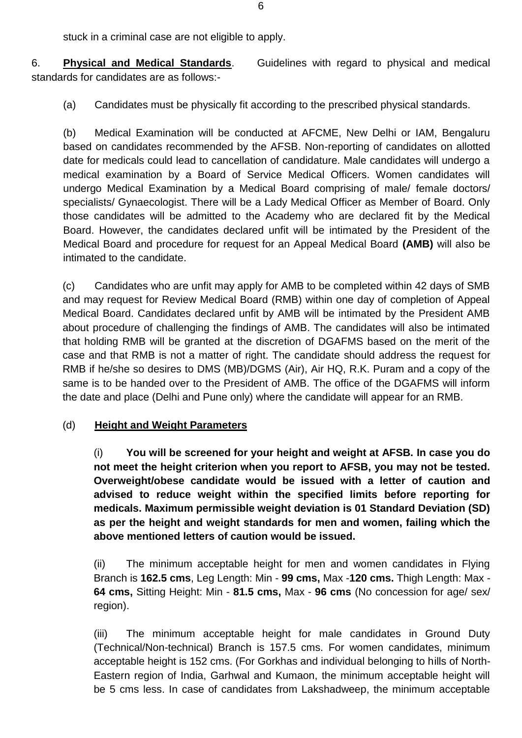stuck in a criminal case are not eligible to apply.

6. **Physical and Medical Standards**. Guidelines with regard to physical and medical standards for candidates are as follows:-

(a) Candidates must be physically fit according to the prescribed physical standards.

(b) Medical Examination will be conducted at AFCME, New Delhi or IAM, Bengaluru based on candidates recommended by the AFSB. Non-reporting of candidates on allotted date for medicals could lead to cancellation of candidature. Male candidates will undergo a medical examination by a Board of Service Medical Officers. Women candidates will undergo Medical Examination by a Medical Board comprising of male/ female doctors/ specialists/ Gynaecologist. There will be a Lady Medical Officer as Member of Board. Only those candidates will be admitted to the Academy who are declared fit by the Medical Board. However, the candidates declared unfit will be intimated by the President of the Medical Board and procedure for request for an Appeal Medical Board **(AMB)** will also be intimated to the candidate.

(c) Candidates who are unfit may apply for AMB to be completed within 42 days of SMB and may request for Review Medical Board (RMB) within one day of completion of Appeal Medical Board. Candidates declared unfit by AMB will be intimated by the President AMB about procedure of challenging the findings of AMB. The candidates will also be intimated that holding RMB will be granted at the discretion of DGAFMS based on the merit of the case and that RMB is not a matter of right. The candidate should address the request for RMB if he/she so desires to DMS (MB)/DGMS (Air), Air HQ, R.K. Puram and a copy of the same is to be handed over to the President of AMB. The office of the DGAFMS will inform the date and place (Delhi and Pune only) where the candidate will appear for an RMB.

### (d) **Height and Weight Parameters**

(i) **You will be screened for your height and weight at AFSB. In case you do not meet the height criterion when you report to AFSB, you may not be tested. Overweight/obese candidate would be issued with a letter of caution and advised to reduce weight within the specified limits before reporting for medicals. Maximum permissible weight deviation is 01 Standard Deviation (SD) as per the height and weight standards for men and women, failing which the above mentioned letters of caution would be issued.**

(ii) The minimum acceptable height for men and women candidates in Flying Branch is **162.5 cms**, Leg Length: Min - **99 cms,** Max -**120 cms.** Thigh Length: Max - **64 cms,** Sitting Height: Min - **81.5 cms,** Max - **96 cms** (No concession for age/ sex/ region).

(iii) The minimum acceptable height for male candidates in Ground Duty (Technical/Non-technical) Branch is 157.5 cms. For women candidates, minimum acceptable height is 152 cms. (For Gorkhas and individual belonging to hills of North-Eastern region of India, Garhwal and Kumaon, the minimum acceptable height will be 5 cms less. In case of candidates from Lakshadweep, the minimum acceptable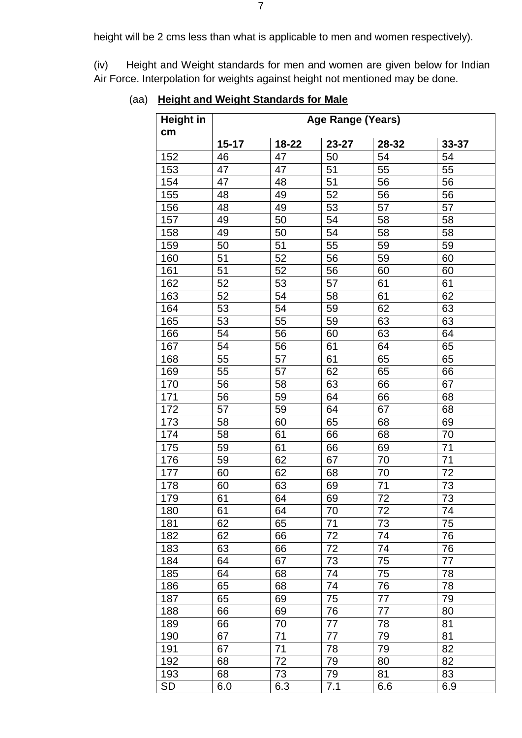height will be 2 cms less than what is applicable to men and women respectively).

(iv) Height and Weight standards for men and women are given below for Indian Air Force. Interpolation for weights against height not mentioned may be done.

| <b>Height in</b> | <b>Age Range (Years)</b> |           |       |       |       |
|------------------|--------------------------|-----------|-------|-------|-------|
| cm               |                          |           |       |       |       |
|                  | $15 - 17$                | $18 - 22$ | 23-27 | 28-32 | 33-37 |
| 152              | 46                       | 47        | 50    | 54    | 54    |
| 153              | 47                       | 47        | 51    | 55    | 55    |
| 154              | 47                       | 48        | 51    | 56    | 56    |
| 155              | 48                       | 49        | 52    | 56    | 56    |
| 156              | 48                       | 49        | 53    | 57    | 57    |
| 157              | 49                       | 50        | 54    | 58    | 58    |
| 158              | 49                       | 50        | 54    | 58    | 58    |
| 159              | 50                       | 51        | 55    | 59    | 59    |
| 160              | 51                       | 52        | 56    | 59    | 60    |
| 161              | 51                       | 52        | 56    | 60    | 60    |
| 162              | 52                       | 53        | 57    | 61    | 61    |
| 163              | 52                       | 54        | 58    | 61    | 62    |
| 164              | 53                       | 54        | 59    | 62    | 63    |
| 165              | 53                       | 55        | 59    | 63    | 63    |
| 166              | 54                       | 56        | 60    | 63    | 64    |
| 167              | 54                       | 56        | 61    | 64    | 65    |
| 168              | 55                       | 57        | 61    | 65    | 65    |
| 169              | 55                       | 57        | 62    | 65    | 66    |
| 170              | 56                       | 58        | 63    | 66    | 67    |
| 171              | 56                       | 59        | 64    | 66    | 68    |
| 172              | 57                       | 59        | 64    | 67    | 68    |
| 173              | 58                       | 60        | 65    | 68    | 69    |
| 174              | 58                       | 61        | 66    | 68    | 70    |
| 175              | 59                       | 61        | 66    | 69    | 71    |
| 176              | 59                       | 62        | 67    | 70    | 71    |
| 177              | 60                       | 62        | 68    | 70    | 72    |
| 178              | 60                       | 63        | 69    | 71    | 73    |
| 179              | 61                       | 64        | 69    | 72    | 73    |
| 180              | 61                       | 64        | 70    | 72    | 74    |
| 181              | 62                       | 65        | 71    | 73    | 75    |
| 182              | 62                       | 66        | 72    | 74    | 76    |
| 183              | 63                       | 66        | 72    | 74    | 76    |
| 184              | 64                       | 67        | 73    | 75    | 77    |
| 185              | 64                       | 68        | 74    | 75    | 78    |
| 186              | 65                       | 68        | 74    | 76    | 78    |
| 187              | 65                       | 69        | 75    | 77    | 79    |
| 188              | 66                       | 69        | 76    | 77    | 80    |
| 189              | 66                       | 70        | 77    | 78    | 81    |
| 190              | 67                       | 71        | 77    | 79    | 81    |
| 191              | 67                       | 71        | 78    | 79    | 82    |
| 192              | 68                       | 72        | 79    | 80    | 82    |
| 193              | 68                       | 73        | 79    | 81    | 83    |
|                  |                          |           |       |       |       |
| SD               | 6.0                      | 6.3       | 7.1   | 6.6   | 6.9   |

# (aa) **Height and Weight Standards for Male**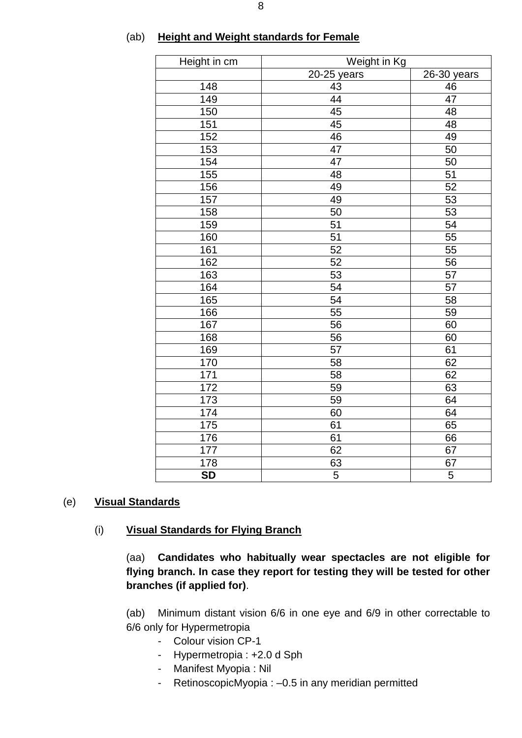| Height in cm | Weight in Kg    |                 |
|--------------|-----------------|-----------------|
|              | 20-25 years     | $26-30$ years   |
| 148          | 43              | 46              |
| 149          | 44              | 47              |
| 150          | 45              | 48              |
| 151          | 45              | 48              |
| 152          | 46              | 49              |
| 153          | 47              | 50              |
| 154          | $\overline{47}$ | 50              |
| 155          | 48              | 51              |
| 156          | 49              | 52              |
| 157          | 49              | 53              |
| 158          | 50              | 53              |
| 159          | $\overline{51}$ | 54              |
| 160          | $\overline{51}$ | $\overline{55}$ |
| 161          | 52              | 55              |
| 162          | 52              | 56              |
| 163          | 53              | 57              |
| 164          | $\overline{54}$ | $\overline{57}$ |
| 165          | 54              | 58              |
| 166          | 55              | 59              |
| 167          | 56              | 60              |
| 168          | 56              | 60              |
| 169          | 57              | 61              |
| 170          | 58              | 62              |
| 171          | 58              | 62              |
| 172          | 59              | 63              |
| 173          | 59              | 64              |
| 174          | 60              | 64              |
| 175          | 61              | 65              |
| 176          | 61              | 66              |
| 177          | 62              | 67              |
| 178          | 63              | 67              |
| <b>SD</b>    | $\overline{5}$  | 5               |

#### (ab) **Height and Weight standards for Female**

#### (e) **Visual Standards**

#### (i) **Visual Standards for Flying Branch**

(aa) **Candidates who habitually wear spectacles are not eligible for flying branch. In case they report for testing they will be tested for other branches (if applied for)**.

(ab) Minimum distant vision 6/6 in one eye and 6/9 in other correctable to 6/6 only for Hypermetropia

- Colour vision CP-1
- Hypermetropia : +2.0 d Sph
- Manifest Myopia : Nil
- RetinoscopicMyopia : –0.5 in any meridian permitted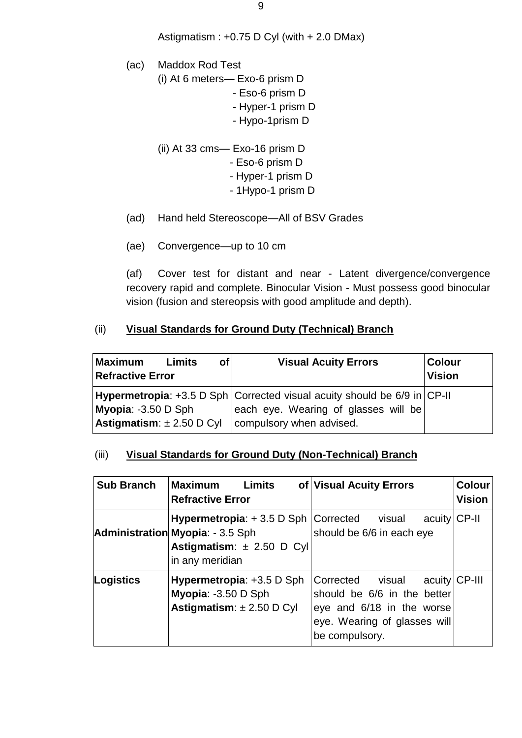- (ac) Maddox Rod Test (i) At 6 meters— Exo-6 prism D - Eso-6 prism D - Hyper-1 prism D
	- Hypo-1prism D
	- (ii) At 33 cms— Exo-16 prism D
		- Eso-6 prism D
		- Hyper-1 prism D
		- 1Hypo-1 prism D
- (ad) Hand held Stereoscope—All of BSV Grades
- (ae) Convergence—up to 10 cm

(af) Cover test for distant and near - Latent divergence/convergence recovery rapid and complete. Binocular Vision - Must possess good binocular vision (fusion and stereopsis with good amplitude and depth).

### (ii) **Visual Standards for Ground Duty (Technical) Branch**

| <b>Maximum</b><br><b>Refractive Error</b> | Limits | of | <b>Visual Acuity Errors</b>                                                                                                | <b>Colour</b><br><b>Vision</b> |
|-------------------------------------------|--------|----|----------------------------------------------------------------------------------------------------------------------------|--------------------------------|
| Myopia: -3.50 D Sph                       |        |    | <b>Hypermetropia</b> : $+3.5$ D Sph Corrected visual acuity should be 6/9 in CP-II<br>each eye. Wearing of glasses will be |                                |
| $\lambda$ stigmatism: $\pm 2.50$ D Cyl    |        |    | compulsory when advised.                                                                                                   |                                |

### (iii) **Visual Standards for Ground Duty (Non-Technical) Branch**

| <b>Sub Branch</b> | <b>Limits</b><br><b>Maximum</b><br><b>Refractive Error</b>                                                                                        | of Visual Acuity Errors                                                                                                                         | Colour<br><b>Vision</b> |
|-------------------|---------------------------------------------------------------------------------------------------------------------------------------------------|-------------------------------------------------------------------------------------------------------------------------------------------------|-------------------------|
|                   | <b>Hypermetropia:</b> $+3.5$ D Sph $ Corrected$ visual<br><b>Administration Myopia: - 3.5 Sph</b><br>Astigmatism: ± 2.50 D Cyl<br>in any meridian | acuity CP-II<br>should be 6/6 in each eye                                                                                                       |                         |
| Logistics         | Hypermetropia: +3.5 D Sph<br>Myopia: -3.50 D Sph<br>Astigmatism: $\pm 2.50$ D Cyl                                                                 | acuity CP-III<br>Corrected visual<br>should be 6/6 in the better<br>eye and 6/18 in the worse<br>eye. Wearing of glasses will<br>be compulsory. |                         |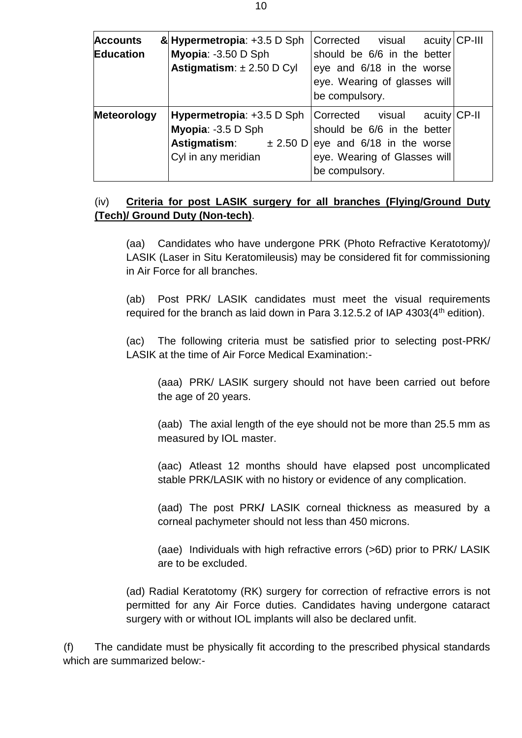| <b>Accounts</b><br>Education | & Hypermetropia: +3.5 D Sph<br>Myopia: -3.50 D Sph<br>Astigmatism: $\pm 2.50$ D Cyl                                        | acuity CP-III<br>Corrected visual<br>should be 6/6 in the better<br>eye and 6/18 in the worse<br>eye. Wearing of glasses will<br>be compulsory. |  |
|------------------------------|----------------------------------------------------------------------------------------------------------------------------|-------------------------------------------------------------------------------------------------------------------------------------------------|--|
| <b>Meteorology</b>           | <b>Hypermetropia:</b> $+3.5$ D Sph $ Corrected$ visual<br>Myopia: -3.5 D Sph<br><b>Astigmatism:</b><br>Cyl in any meridian | acuity CP-II<br>should be 6/6 in the better<br>$\pm$ 2.50 D   eye and 6/18 in the worse<br>eye. Wearing of Glasses will<br>be compulsory.       |  |

### (iv) **Criteria for post LASIK surgery for all branches (Flying/Ground Duty (Tech)/ Ground Duty (Non-tech)**.

(aa) Candidates who have undergone PRK (Photo Refractive Keratotomy)/ LASIK (Laser in Situ Keratomileusis) may be considered fit for commissioning in Air Force for all branches.

(ab) Post PRK/ LASIK candidates must meet the visual requirements required for the branch as laid down in Para 3.12.5.2 of IAP  $4303(4<sup>th</sup>$  edition).

(ac) The following criteria must be satisfied prior to selecting post-PRK/ LASIK at the time of Air Force Medical Examination:-

(aaa) PRK/ LASIK surgery should not have been carried out before the age of 20 years.

(aab) The axial length of the eye should not be more than 25.5 mm as measured by IOL master.

(aac) Atleast 12 months should have elapsed post uncomplicated stable PRK/LASIK with no history or evidence of any complication.

(aad) The post PRK**/** LASIK corneal thickness as measured by a corneal pachymeter should not less than 450 microns.

(aae) Individuals with high refractive errors (>6D) prior to PRK/ LASIK are to be excluded.

(ad) Radial Keratotomy (RK) surgery for correction of refractive errors is not permitted for any Air Force duties. Candidates having undergone cataract surgery with or without IOL implants will also be declared unfit.

(f) The candidate must be physically fit according to the prescribed physical standards which are summarized below:-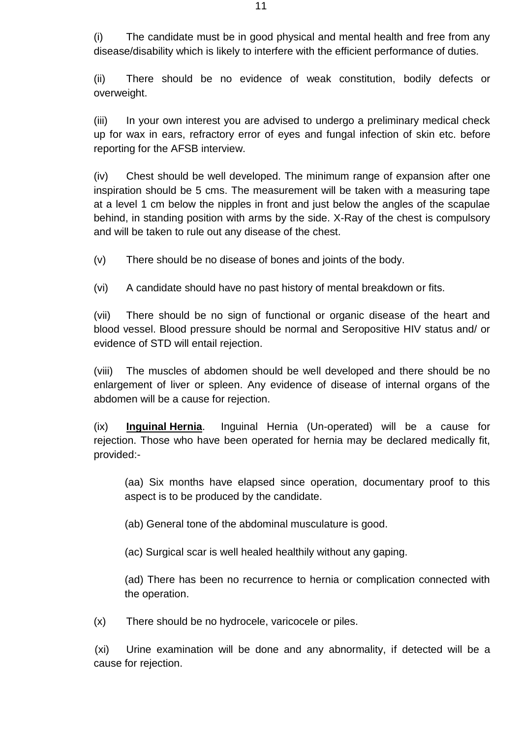(i) The candidate must be in good physical and mental health and free from any disease/disability which is likely to interfere with the efficient performance of duties.

(ii) There should be no evidence of weak constitution, bodily defects or overweight.

(iii) In your own interest you are advised to undergo a preliminary medical check up for wax in ears, refractory error of eyes and fungal infection of skin etc. before reporting for the AFSB interview.

(iv) Chest should be well developed. The minimum range of expansion after one inspiration should be 5 cms. The measurement will be taken with a measuring tape at a level 1 cm below the nipples in front and just below the angles of the scapulae behind, in standing position with arms by the side. X-Ray of the chest is compulsory and will be taken to rule out any disease of the chest.

(v) There should be no disease of bones and joints of the body.

(vi) A candidate should have no past history of mental breakdown or fits.

(vii) There should be no sign of functional or organic disease of the heart and blood vessel. Blood pressure should be normal and Seropositive HIV status and/ or evidence of STD will entail rejection.

(viii) The muscles of abdomen should be well developed and there should be no enlargement of liver or spleen. Any evidence of disease of internal organs of the abdomen will be a cause for rejection.

(ix) **Inguinal Hernia**. Inguinal Hernia (Un-operated) will be a cause for rejection. Those who have been operated for hernia may be declared medically fit, provided:-

(aa) Six months have elapsed since operation, documentary proof to this aspect is to be produced by the candidate.

(ab) General tone of the abdominal musculature is good.

(ac) Surgical scar is well healed healthily without any gaping.

(ad) There has been no recurrence to hernia or complication connected with the operation.

(x) There should be no hydrocele, varicocele or piles.

(xi) Urine examination will be done and any abnormality, if detected will be a cause for rejection.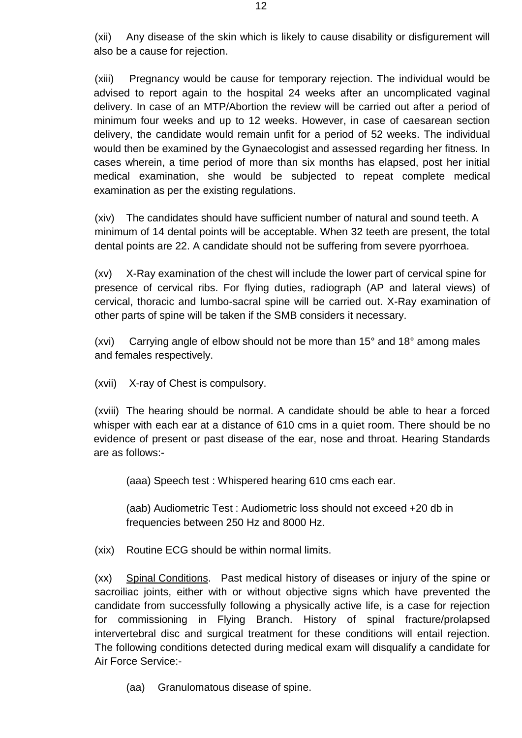(xii) Any disease of the skin which is likely to cause disability or disfigurement will also be a cause for rejection.

(xiii) Pregnancy would be cause for temporary rejection. The individual would be advised to report again to the hospital 24 weeks after an uncomplicated vaginal delivery. In case of an MTP/Abortion the review will be carried out after a period of minimum four weeks and up to 12 weeks. However, in case of caesarean section delivery, the candidate would remain unfit for a period of 52 weeks. The individual would then be examined by the Gynaecologist and assessed regarding her fitness. In cases wherein, a time period of more than six months has elapsed, post her initial medical examination, she would be subjected to repeat complete medical examination as per the existing regulations.

(xiv) The candidates should have sufficient number of natural and sound teeth. A minimum of 14 dental points will be acceptable. When 32 teeth are present, the total dental points are 22. A candidate should not be suffering from severe pyorrhoea.

(xv) X-Ray examination of the chest will include the lower part of cervical spine for presence of cervical ribs. For flying duties, radiograph (AP and lateral views) of cervical, thoracic and lumbo-sacral spine will be carried out. X-Ray examination of other parts of spine will be taken if the SMB considers it necessary.

(xvi) Carrying angle of elbow should not be more than 15° and 18° among males and females respectively.

(xvii) X-ray of Chest is compulsory.

(xviii) The hearing should be normal. A candidate should be able to hear a forced whisper with each ear at a distance of 610 cms in a quiet room. There should be no evidence of present or past disease of the ear, nose and throat. Hearing Standards are as follows:-

(aaa) Speech test : Whispered hearing 610 cms each ear.

(aab) Audiometric Test : Audiometric loss should not exceed +20 db in frequencies between 250 Hz and 8000 Hz.

(xix) Routine ECG should be within normal limits.

(xx) Spinal Conditions. Past medical history of diseases or injury of the spine or sacroiliac joints, either with or without objective signs which have prevented the candidate from successfully following a physically active life, is a case for rejection for commissioning in Flying Branch. History of spinal fracture/prolapsed intervertebral disc and surgical treatment for these conditions will entail rejection. The following conditions detected during medical exam will disqualify a candidate for Air Force Service:-

(aa) Granulomatous disease of spine.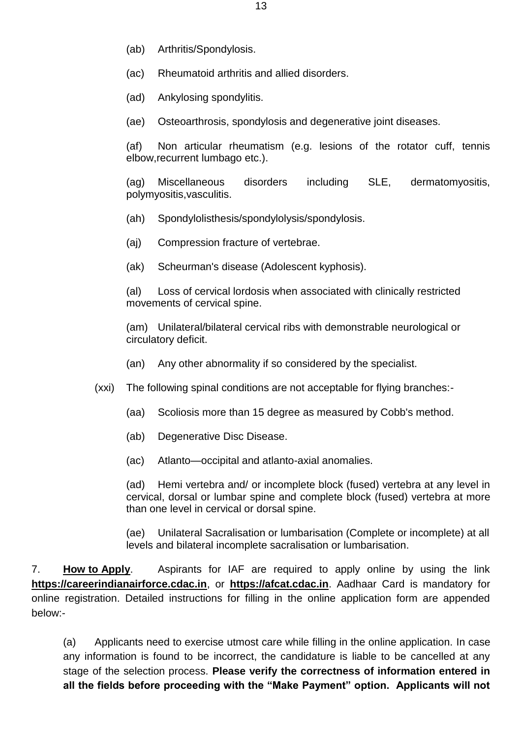- (ab) Arthritis/Spondylosis.
- (ac) Rheumatoid arthritis and allied disorders.
- (ad) Ankylosing spondylitis.
- (ae) Osteoarthrosis, spondylosis and degenerative joint diseases.

(af) Non articular rheumatism (e.g. lesions of the rotator cuff, tennis elbow,recurrent lumbago etc.).

(ag) Miscellaneous disorders including SLE, dermatomyositis, polymyositis,vasculitis.

- (ah) Spondylolisthesis/spondylolysis/spondylosis.
- (aj) Compression fracture of vertebrae.
- (ak) Scheurman's disease (Adolescent kyphosis).

(al) Loss of cervical lordosis when associated with clinically restricted movements of cervical spine.

(am) Unilateral/bilateral cervical ribs with demonstrable neurological or circulatory deficit.

- (an) Any other abnormality if so considered by the specialist.
- (xxi) The following spinal conditions are not acceptable for flying branches:-
	- (aa) Scoliosis more than 15 degree as measured by Cobb's method.
	- (ab) Degenerative Disc Disease.

(ac) Atlanto—occipital and atlanto-axial anomalies.

(ad) Hemi vertebra and/ or incomplete block (fused) vertebra at any level in cervical, dorsal or lumbar spine and complete block (fused) vertebra at more than one level in cervical or dorsal spine.

(ae) Unilateral Sacralisation or lumbarisation (Complete or incomplete) at all levels and bilateral incomplete sacralisation or lumbarisation.

7. **How to Apply**. Aspirants for IAF are required to apply online by using the link **[https://careerindianairforce.cdac.in](https://careerindianairforce.cdac.in/)**, or **https://afcat.cdac.in**. Aadhaar Card is mandatory for online registration. Detailed instructions for filling in the online application form are appended below:-

(a) Applicants need to exercise utmost care while filling in the online application. In case any information is found to be incorrect, the candidature is liable to be cancelled at any stage of the selection process. **Please verify the correctness of information entered in all the fields before proceeding with the "Make Payment" option. Applicants will not**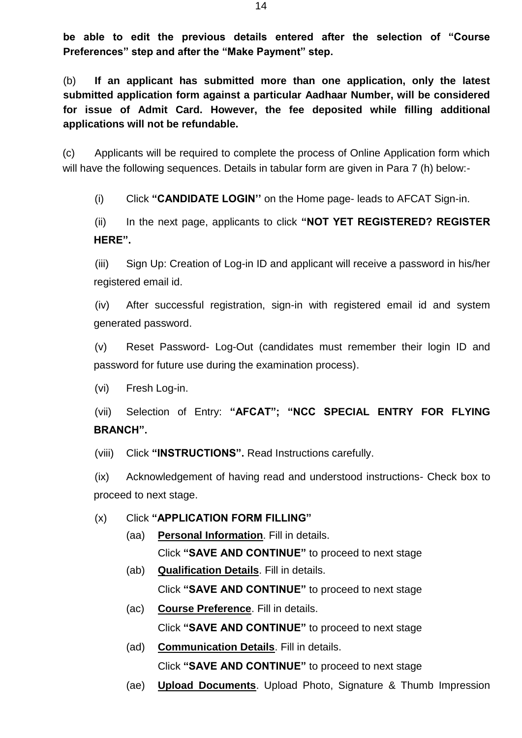**be able to edit the previous details entered after the selection of "Course Preferences" step and after the "Make Payment" step.**

(b) **If an applicant has submitted more than one application, only the latest submitted application form against a particular Aadhaar Number, will be considered for issue of Admit Card. However, the fee deposited while filling additional applications will not be refundable.**

(c) Applicants will be required to complete the process of Online Application form which will have the following sequences. Details in tabular form are given in Para 7 (h) below:-

(i) Click **"CANDIDATE LOGIN''** on the Home page- leads to AFCAT Sign-in.

(ii) In the next page, applicants to click **"NOT YET REGISTERED? REGISTER HERE".**

(iii) Sign Up: Creation of Log-in ID and applicant will receive a password in his/her registered email id.

(iv) After successful registration, sign-in with registered email id and system generated password.

(v) Reset Password- Log-Out (candidates must remember their login ID and password for future use during the examination process).

(vi) Fresh Log-in.

(vii) Selection of Entry: **"AFCAT"; "NCC SPECIAL ENTRY FOR FLYING BRANCH".**

(viii) Click **"INSTRUCTIONS".** Read Instructions carefully.

(ix) Acknowledgement of having read and understood instructions- Check box to proceed to next stage.

### (x) Click **"APPLICATION FORM FILLING"**

- (aa) **Personal Information**. Fill in details. Click **"SAVE AND CONTINUE"** to proceed to next stage
- (ab) **Qualification Details**. Fill in details. Click **"SAVE AND CONTINUE"** to proceed to next stage
- (ac) **Course Preference**. Fill in details. Click **"SAVE AND CONTINUE"** to proceed to next stage
- (ad) **Communication Details**. Fill in details. Click **"SAVE AND CONTINUE"** to proceed to next stage
- (ae) **Upload Documents**. Upload Photo, Signature & Thumb Impression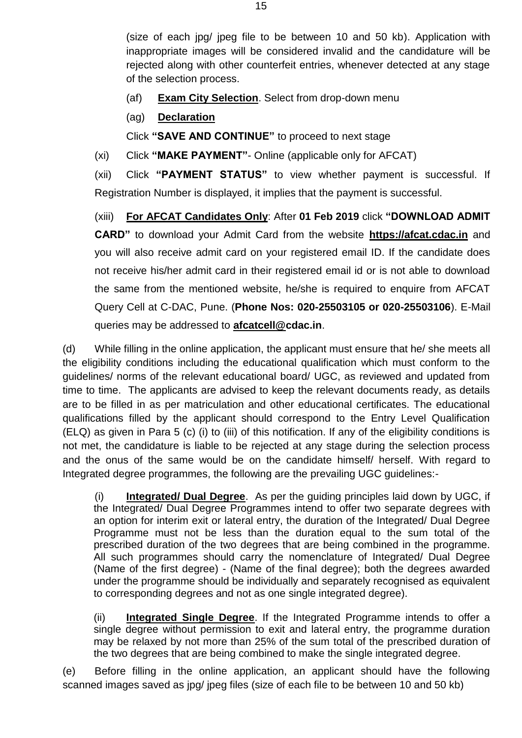(size of each jpg/ jpeg file to be between 10 and 50 kb). Application with inappropriate images will be considered invalid and the candidature will be rejected along with other counterfeit entries, whenever detected at any stage of the selection process.

- (af) **Exam City Selection**. Select from drop-down menu
- (ag) **Declaration**

Click **"SAVE AND CONTINUE"** to proceed to next stage

(xi) Click **"MAKE PAYMENT"**- Online (applicable only for AFCAT)

(xii) Click **"PAYMENT STATUS"** to view whether payment is successful. If Registration Number is displayed, it implies that the payment is successful.

(xiii) **For AFCAT Candidates Only**: After **01 Feb 2019** click **"DOWNLOAD ADMIT CARD"** to download your Admit Card from the website **[https://afcat.cdac.in](https://afcat.cdac.in/)** and you will also receive admit card on your registered email ID. If the candidate does not receive his/her admit card in their registered email id or is not able to download the same from the mentioned website, he/she is required to enquire from AFCAT Query Cell at C-DAC, Pune. (**Phone Nos: 020-25503105 or 020-25503106**). E-Mail queries may be addressed to **[afcatcell@c](mailto:afcatcell@)dac.in**.

(d) While filling in the online application, the applicant must ensure that he/ she meets all the eligibility conditions including the educational qualification which must conform to the guidelines/ norms of the relevant educational board/ UGC, as reviewed and updated from time to time. The applicants are advised to keep the relevant documents ready, as details are to be filled in as per matriculation and other educational certificates. The educational qualifications filled by the applicant should correspond to the Entry Level Qualification (ELQ) as given in Para 5 (c) (i) to (iii) of this notification. If any of the eligibility conditions is not met, the candidature is liable to be rejected at any stage during the selection process and the onus of the same would be on the candidate himself/ herself. With regard to Integrated degree programmes, the following are the prevailing UGC guidelines:-

(i) **Integrated/ Dual Degree**. As per the guiding principles laid down by UGC, if the Integrated/ Dual Degree Programmes intend to offer two separate degrees with an option for interim exit or lateral entry, the duration of the Integrated/ Dual Degree Programme must not be less than the duration equal to the sum total of the prescribed duration of the two degrees that are being combined in the programme. All such programmes should carry the nomenclature of Integrated/ Dual Degree (Name of the first degree) - (Name of the final degree); both the degrees awarded under the programme should be individually and separately recognised as equivalent to corresponding degrees and not as one single integrated degree).

(ii) **Integrated Single Degree**. If the Integrated Programme intends to offer a single degree without permission to exit and lateral entry, the programme duration may be relaxed by not more than 25% of the sum total of the prescribed duration of the two degrees that are being combined to make the single integrated degree.

(e) Before filling in the online application, an applicant should have the following scanned images saved as jpg/ jpeg files (size of each file to be between 10 and 50 kb)

15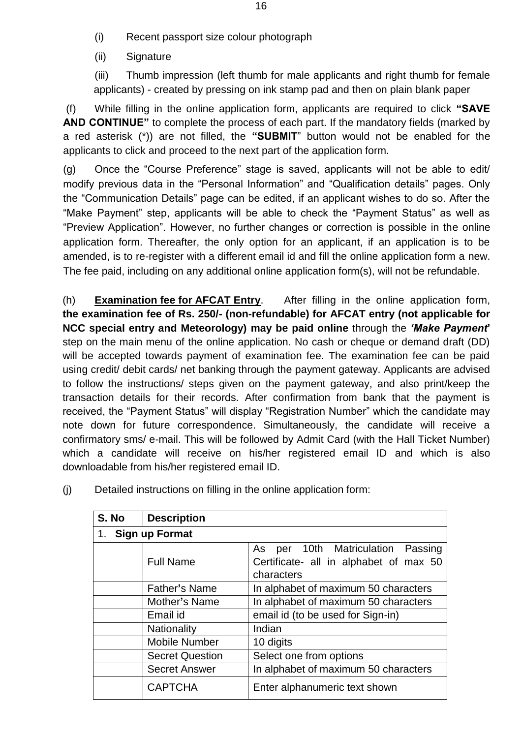- (i) Recent passport size colour photograph
- (ii) Signature

(iii) Thumb impression (left thumb for male applicants and right thumb for female applicants) - created by pressing on ink stamp pad and then on plain blank paper

(f) While filling in the online application form, applicants are required to click **"SAVE AND CONTINUE"** to complete the process of each part. If the mandatory fields (marked by a red asterisk (\*)) are not filled, the **"SUBMIT**" button would not be enabled for the applicants to click and proceed to the next part of the application form.

(g) Once the "Course Preference" stage is saved, applicants will not be able to edit/ modify previous data in the "Personal Information" and "Qualification details" pages. Only the "Communication Details" page can be edited, if an applicant wishes to do so. After the "Make Payment" step, applicants will be able to check the "Payment Status" as well as "Preview Application". However, no further changes or correction is possible in the online application form. Thereafter, the only option for an applicant, if an application is to be amended, is to re-register with a different email id and fill the online application form a new. The fee paid, including on any additional online application form(s), will not be refundable.

(h) **Examination fee for AFCAT Entry**. After filling in the online application form, **the examination fee of Rs. 250/- (non-refundable) for AFCAT entry (not applicable for NCC special entry and Meteorology) may be paid online** through the *'Make Payment***'** step on the main menu of the online application. No cash or cheque or demand draft (DD) will be accepted towards payment of examination fee. The examination fee can be paid using credit/ debit cards/ net banking through the payment gateway. Applicants are advised to follow the instructions/ steps given on the payment gateway, and also print/keep the transaction details for their records. After confirmation from bank that the payment is received, the "Payment Status" will display "Registration Number" which the candidate may note down for future correspondence. Simultaneously, the candidate will receive a confirmatory sms/ e-mail. This will be followed by Admit Card (with the Hall Ticket Number) which a candidate will receive on his/her registered email ID and which is also downloadable from his/her registered email ID.

| S. No | <b>Description</b>     |                                                                                              |  |  |  |
|-------|------------------------|----------------------------------------------------------------------------------------------|--|--|--|
| 1.    | Sign up Format         |                                                                                              |  |  |  |
|       | <b>Full Name</b>       | per 10th Matriculation Passing<br>As<br>Certificate- all in alphabet of max 50<br>characters |  |  |  |
|       | <b>Father's Name</b>   | In alphabet of maximum 50 characters                                                         |  |  |  |
|       | Mother's Name          | In alphabet of maximum 50 characters                                                         |  |  |  |
|       | Email id               | email id (to be used for Sign-in)                                                            |  |  |  |
|       | Nationality            | Indian                                                                                       |  |  |  |
|       | <b>Mobile Number</b>   | 10 digits                                                                                    |  |  |  |
|       | <b>Secret Question</b> | Select one from options                                                                      |  |  |  |
|       | <b>Secret Answer</b>   | In alphabet of maximum 50 characters                                                         |  |  |  |
|       | <b>CAPTCHA</b>         | Enter alphanumeric text shown                                                                |  |  |  |

(j) Detailed instructions on filling in the online application form: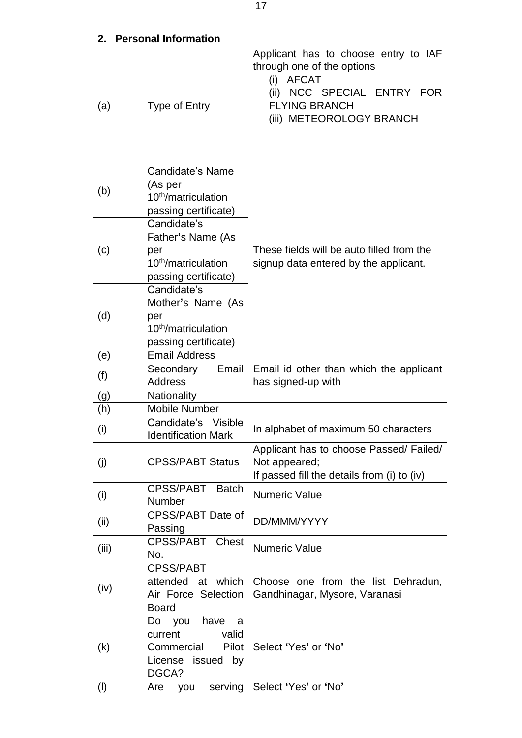| 2.    | <b>Personal Information</b>                                                                           |                                                                                                                                                                             |
|-------|-------------------------------------------------------------------------------------------------------|-----------------------------------------------------------------------------------------------------------------------------------------------------------------------------|
| (a)   | <b>Type of Entry</b>                                                                                  | Applicant has to choose entry to IAF<br>through one of the options<br>(i)<br><b>AFCAT</b><br>(ii) NCC SPECIAL ENTRY FOR<br><b>FLYING BRANCH</b><br>(iii) METEOROLOGY BRANCH |
| (b)   | <b>Candidate's Name</b><br>(As per<br>10 <sup>th</sup> /matriculation<br>passing certificate)         |                                                                                                                                                                             |
| (c)   | Candidate's<br>Father's Name (As<br>per<br>10 <sup>th</sup> /matriculation<br>passing certificate)    | These fields will be auto filled from the<br>signup data entered by the applicant.                                                                                          |
| (d)   | Candidate's<br>Mother's Name (As<br>per<br>10 <sup>th</sup> /matriculation<br>passing certificate)    |                                                                                                                                                                             |
| (e)   | <b>Email Address</b>                                                                                  |                                                                                                                                                                             |
| (f)   | Email<br>Secondary<br><b>Address</b>                                                                  | Email id other than which the applicant<br>has signed-up with                                                                                                               |
| (g)   | Nationality                                                                                           |                                                                                                                                                                             |
| (h)   | Mobile Number                                                                                         |                                                                                                                                                                             |
| (i)   | Candidate's Visible<br><b>Identification Mark</b>                                                     | In alphabet of maximum 50 characters                                                                                                                                        |
| (j)   | <b>CPSS/PABT Status</b>                                                                               | Applicant has to choose Passed/Failed/<br>Not appeared;<br>If passed fill the details from (i) to (iv)                                                                      |
| (i)   | CPSS/PABT Batch<br>Number                                                                             | <b>Numeric Value</b>                                                                                                                                                        |
| (ii)  | CPSS/PABT Date of<br>Passing                                                                          | DD/MMM/YYYY                                                                                                                                                                 |
| (iii) | CPSS/PABT Chest<br>No.                                                                                | <b>Numeric Value</b>                                                                                                                                                        |
| (iv)  | <b>CPSS/PABT</b><br>attended at which<br>Air Force Selection<br><b>Board</b>                          | Choose one from the list Dehradun,<br>Gandhinagar, Mysore, Varanasi                                                                                                         |
| (k)   | have<br>Do<br>you<br>a<br>valid<br>current<br>Pilot<br>Commercial<br>License<br>issued<br>by<br>DGCA? | Select 'Yes' or 'No'                                                                                                                                                        |
| (1)   | Are you                                                                                               | serving   Select 'Yes' or 'No'                                                                                                                                              |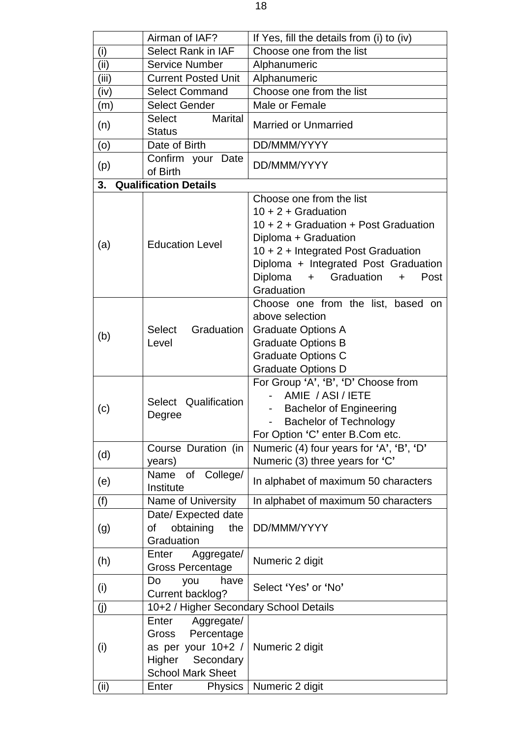|       | Airman of IAF?                                                                                                | If Yes, fill the details from (i) to (iv)                                                                                                                                                                                                                 |
|-------|---------------------------------------------------------------------------------------------------------------|-----------------------------------------------------------------------------------------------------------------------------------------------------------------------------------------------------------------------------------------------------------|
| (i)   | <b>Select Rank in IAF</b>                                                                                     | Choose one from the list                                                                                                                                                                                                                                  |
| (ii)  | <b>Service Number</b>                                                                                         | Alphanumeric                                                                                                                                                                                                                                              |
| (iii) | <b>Current Posted Unit</b>                                                                                    | Alphanumeric                                                                                                                                                                                                                                              |
| (iv)  | <b>Select Command</b>                                                                                         | Choose one from the list                                                                                                                                                                                                                                  |
| (m)   | <b>Select Gender</b>                                                                                          | Male or Female                                                                                                                                                                                                                                            |
| (n)   | <b>Marital</b><br>Select<br><b>Status</b>                                                                     | <b>Married or Unmarried</b>                                                                                                                                                                                                                               |
| (o)   | Date of Birth                                                                                                 | DD/MMM/YYYY                                                                                                                                                                                                                                               |
| (p)   | Confirm your Date<br>of Birth                                                                                 | DD/MMM/YYYY                                                                                                                                                                                                                                               |
| 3.    | <b>Qualification Details</b>                                                                                  |                                                                                                                                                                                                                                                           |
| (a)   | <b>Education Level</b>                                                                                        | Choose one from the list<br>$10 + 2 +$ Graduation<br>10 + 2 + Graduation + Post Graduation<br>Diploma + Graduation<br>10 + 2 + Integrated Post Graduation<br>Diploma + Integrated Post Graduation<br>+ Graduation<br>Diploma<br>Post<br>$+$<br>Graduation |
| (b)   | Graduation<br>Select<br>Level                                                                                 | Choose one from the list, based on<br>above selection<br><b>Graduate Options A</b><br><b>Graduate Options B</b><br><b>Graduate Options C</b><br><b>Graduate Options D</b>                                                                                 |
| (c)   | Select Qualification<br>Degree                                                                                | For Group 'A', 'B', 'D' Choose from<br>AMIE / ASI / IETE<br><b>Bachelor of Engineering</b><br><b>Bachelor of Technology</b><br>For Option 'C' enter B.Com etc.                                                                                            |
| (d)   | Course Duration (in<br>years)                                                                                 | Numeric (4) four years for 'A', 'B', 'D'<br>Numeric (3) three years for 'C'                                                                                                                                                                               |
| (e)   | College/<br>Name<br>of<br>Institute                                                                           | In alphabet of maximum 50 characters                                                                                                                                                                                                                      |
| (f)   | Name of University                                                                                            | In alphabet of maximum 50 characters                                                                                                                                                                                                                      |
| (g)   | Date/ Expected date<br>obtaining<br>the<br>οf<br>Graduation                                                   | DD/MMM/YYYY                                                                                                                                                                                                                                               |
| (h)   | Aggregate/<br>Enter<br><b>Gross Percentage</b>                                                                | Numeric 2 digit                                                                                                                                                                                                                                           |
| (i)   | Do<br>you<br>have<br>Current backlog?                                                                         | Select 'Yes' or 'No'                                                                                                                                                                                                                                      |
| (j)   | 10+2 / Higher Secondary School Details                                                                        |                                                                                                                                                                                                                                                           |
| (i)   | Aggregate/<br>Enter<br>Gross Percentage<br>as per your 10+2 /<br>Higher Secondary<br><b>School Mark Sheet</b> | Numeric 2 digit                                                                                                                                                                                                                                           |
| (ii)  | Physics<br>Enter                                                                                              | Numeric 2 digit                                                                                                                                                                                                                                           |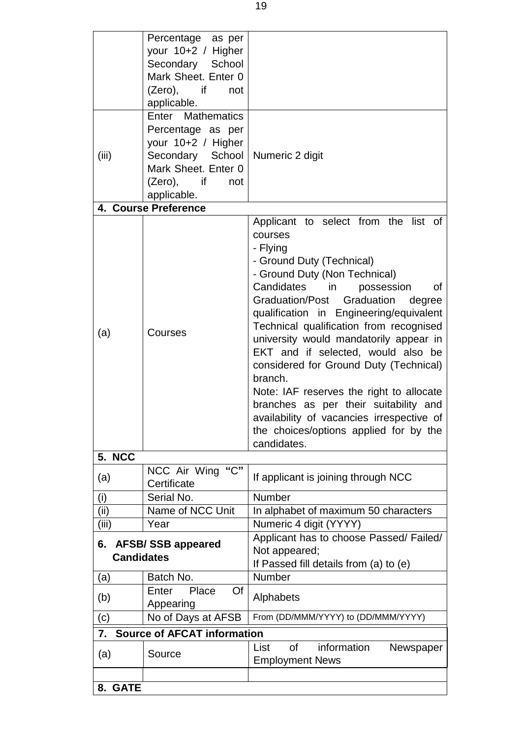|                   | Percentage as per                  |                                                                              |  |
|-------------------|------------------------------------|------------------------------------------------------------------------------|--|
|                   | your 10+2 / Higher                 |                                                                              |  |
|                   | Secondary School                   |                                                                              |  |
|                   | Mark Sheet. Enter 0                |                                                                              |  |
|                   | (Zero), if<br>not                  |                                                                              |  |
|                   | applicable.                        |                                                                              |  |
|                   | Enter Mathematics                  |                                                                              |  |
|                   | Percentage as per                  |                                                                              |  |
|                   | your 10+2 / Higher                 |                                                                              |  |
| (iii)             | Secondary School                   | Numeric 2 digit                                                              |  |
|                   | Mark Sheet. Enter 0                |                                                                              |  |
|                   | $(Zero)$ , if<br>not               |                                                                              |  |
|                   | applicable.                        |                                                                              |  |
|                   | 4. Course Preference               |                                                                              |  |
|                   |                                    | Applicant to select from the list of                                         |  |
|                   |                                    | courses                                                                      |  |
|                   |                                    | - Flying                                                                     |  |
|                   |                                    | - Ground Duty (Technical)                                                    |  |
|                   |                                    | - Ground Duty (Non Technical)                                                |  |
|                   |                                    | Candidates in<br>possession<br>οf                                            |  |
|                   |                                    | Graduation/Post Graduation<br>degree                                         |  |
|                   | Courses                            | qualification in Engineering/equivalent                                      |  |
| (a)               |                                    | Technical qualification from recognised                                      |  |
|                   |                                    | university would mandatorily appear in<br>EKT and if selected, would also be |  |
|                   |                                    | considered for Ground Duty (Technical)                                       |  |
|                   |                                    | branch.                                                                      |  |
|                   |                                    | Note: IAF reserves the right to allocate                                     |  |
|                   |                                    | branches as per their suitability and                                        |  |
|                   |                                    | availability of vacancies irrespective of                                    |  |
|                   |                                    | the choices/options applied for by the                                       |  |
|                   |                                    | candidates.                                                                  |  |
| 5. NCC            |                                    |                                                                              |  |
| (a)               | NCC Air Wing "C"                   | If applicant is joining through NCC                                          |  |
|                   | Certificate                        |                                                                              |  |
| (i)               | Serial No.                         | Number                                                                       |  |
| (iii)             | Name of NCC Unit                   | In alphabet of maximum 50 characters                                         |  |
| (iii)             | Year                               | Numeric 4 digit (YYYY)                                                       |  |
| 6.                | <b>AFSB/SSB appeared</b>           | Applicant has to choose Passed/ Failed/                                      |  |
| <b>Candidates</b> |                                    | Not appeared;                                                                |  |
|                   | Batch No.                          | If Passed fill details from (a) to (e)<br>Number                             |  |
| (a)               | Place<br>Of<br>Enter               |                                                                              |  |
| (b)               |                                    | Alphabets                                                                    |  |
|                   | Appearing<br>No of Days at AFSB    | From (DD/MMM/YYYY) to (DD/MMM/YYYY)                                          |  |
| (c)               |                                    |                                                                              |  |
| 7.                | <b>Source of AFCAT information</b> |                                                                              |  |
| (a)               | Source                             | information<br>Newspaper<br>List<br>οf                                       |  |
|                   |                                    | <b>Employment News</b>                                                       |  |
|                   |                                    |                                                                              |  |
| 8. GATE           |                                    |                                                                              |  |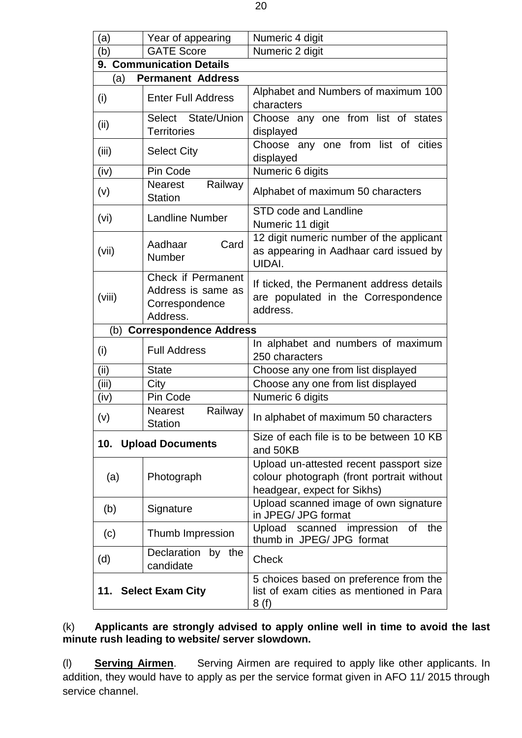| (a)                                                                                                                 | Year of appearing                                                      | Numeric 4 digit                                                                                                     |  |  |
|---------------------------------------------------------------------------------------------------------------------|------------------------------------------------------------------------|---------------------------------------------------------------------------------------------------------------------|--|--|
| (b)                                                                                                                 | <b>GATE Score</b>                                                      | Numeric 2 digit                                                                                                     |  |  |
|                                                                                                                     | 9. Communication Details                                               |                                                                                                                     |  |  |
| (a)                                                                                                                 | <b>Permanent Address</b>                                               |                                                                                                                     |  |  |
| (i)                                                                                                                 | <b>Enter Full Address</b>                                              | Alphabet and Numbers of maximum 100<br>characters                                                                   |  |  |
| (ii)                                                                                                                | Select State/Union<br><b>Territories</b>                               | Choose any one from list of states<br>displayed                                                                     |  |  |
| (iii)                                                                                                               | <b>Select City</b>                                                     | Choose any one from list of cities<br>displayed                                                                     |  |  |
| (iv)                                                                                                                | Pin Code                                                               | Numeric 6 digits                                                                                                    |  |  |
| (v)                                                                                                                 | Railway<br>Nearest<br><b>Station</b>                                   | Alphabet of maximum 50 characters                                                                                   |  |  |
| (vi)                                                                                                                | <b>Landline Number</b>                                                 | <b>STD code and Landline</b><br>Numeric 11 digit                                                                    |  |  |
| (vii)                                                                                                               | Card<br>Aadhaar<br>Number                                              | 12 digit numeric number of the applicant<br>as appearing in Aadhaar card issued by<br>UIDAI.                        |  |  |
| (viii)                                                                                                              | Check if Permanent<br>Address is same as<br>Correspondence<br>Address. | If ticked, the Permanent address details<br>are populated in the Correspondence<br>address.                         |  |  |
| (b)<br><b>Correspondence Address</b>                                                                                |                                                                        |                                                                                                                     |  |  |
| (i)                                                                                                                 | <b>Full Address</b>                                                    | In alphabet and numbers of maximum<br>250 characters                                                                |  |  |
| (ii)                                                                                                                | <b>State</b>                                                           | Choose any one from list displayed                                                                                  |  |  |
| (iii)                                                                                                               | City                                                                   | Choose any one from list displayed                                                                                  |  |  |
| (iv)                                                                                                                | Pin Code                                                               | Numeric 6 digits                                                                                                    |  |  |
| (v)                                                                                                                 | Railway<br><b>Nearest</b><br><b>Station</b>                            | In alphabet of maximum 50 characters                                                                                |  |  |
|                                                                                                                     | <b>10. Upload Documents</b>                                            | Size of each file is to be between 10 KB<br>and 50KB                                                                |  |  |
| (a)                                                                                                                 | Photograph                                                             | Upload un-attested recent passport size<br>colour photograph (front portrait without<br>headgear, expect for Sikhs) |  |  |
| (b)                                                                                                                 | Signature                                                              | Upload scanned image of own signature<br>in JPEG/ JPG format                                                        |  |  |
| (c)                                                                                                                 | Thumb Impression                                                       | Upload<br>scanned impression of<br>the<br>thumb in JPEG/ JPG format                                                 |  |  |
| (d)                                                                                                                 | Declaration by the<br>candidate                                        | Check                                                                                                               |  |  |
| 5 choices based on preference from the<br>11. Select Exam City<br>list of exam cities as mentioned in Para<br>8 (f) |                                                                        |                                                                                                                     |  |  |

### (k) **Applicants are strongly advised to apply online well in time to avoid the last minute rush leading to website/ server slowdown.**

(l) **Serving Airmen**. Serving Airmen are required to apply like other applicants. In addition, they would have to apply as per the service format given in AFO 11/ 2015 through service channel.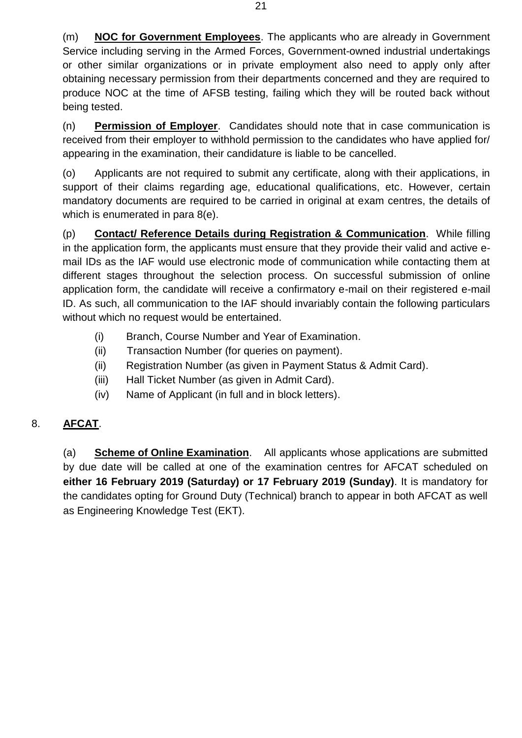(m) **NOC for Government Employees**. The applicants who are already in Government Service including serving in the Armed Forces, Government-owned industrial undertakings or other similar organizations or in private employment also need to apply only after obtaining necessary permission from their departments concerned and they are required to produce NOC at the time of AFSB testing, failing which they will be routed back without being tested.

(n) **Permission of Employer**. Candidates should note that in case communication is received from their employer to withhold permission to the candidates who have applied for/ appearing in the examination, their candidature is liable to be cancelled.

(o) Applicants are not required to submit any certificate, along with their applications, in support of their claims regarding age, educational qualifications, etc. However, certain mandatory documents are required to be carried in original at exam centres, the details of which is enumerated in para 8(e).

(p) **Contact/ Reference Details during Registration & Communication**. While filling in the application form, the applicants must ensure that they provide their valid and active email IDs as the IAF would use electronic mode of communication while contacting them at different stages throughout the selection process. On successful submission of online application form, the candidate will receive a confirmatory e-mail on their registered e-mail ID. As such, all communication to the IAF should invariably contain the following particulars without which no request would be entertained.

- (i) Branch, Course Number and Year of Examination.
- (ii) Transaction Number (for queries on payment).
- (ii) Registration Number (as given in Payment Status & Admit Card).
- (iii) Hall Ticket Number (as given in Admit Card).
- (iv) Name of Applicant (in full and in block letters).

# 8. **AFCAT**.

(a) **Scheme of Online Examination**. All applicants whose applications are submitted by due date will be called at one of the examination centres for AFCAT scheduled on **either 16 February 2019 (Saturday) or 17 February 2019 (Sunday)**. It is mandatory for the candidates opting for Ground Duty (Technical) branch to appear in both AFCAT as well as Engineering Knowledge Test (EKT).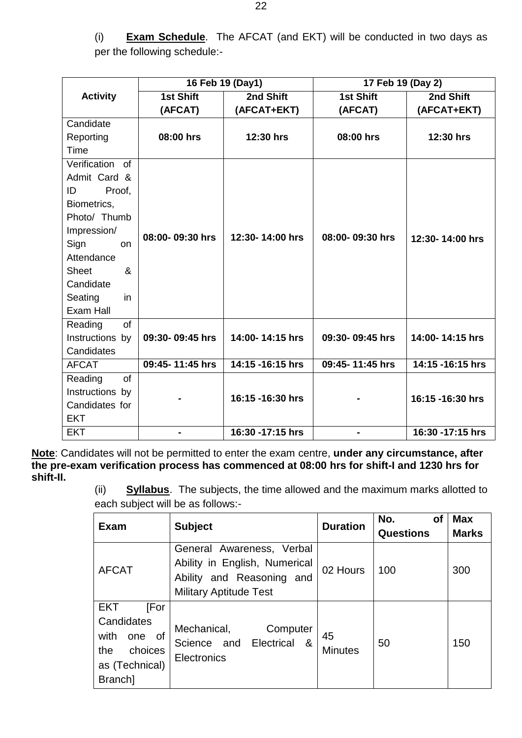(i) **Exam Schedule**. The AFCAT (and EKT) will be conducted in two days as per the following schedule:-

|                                            |                  | 16 Feb 19 (Day1) | 17 Feb 19 (Day 2) |                  |
|--------------------------------------------|------------------|------------------|-------------------|------------------|
| <b>Activity</b>                            | <b>1st Shift</b> | 2nd Shift        | 1st Shift         | 2nd Shift        |
|                                            | (AFCAT)          | (AFCAT+EKT)      | (AFCAT)           | (AFCAT+EKT)      |
| Candidate                                  |                  |                  |                   |                  |
| Reporting                                  | 08:00 hrs        | 12:30 hrs        | 08:00 hrs         | 12:30 hrs        |
| Time                                       |                  |                  |                   |                  |
| Verification of                            |                  |                  |                   |                  |
| Admit Card &                               |                  |                  |                   |                  |
| ID<br>Proof,                               |                  |                  |                   |                  |
| Biometrics,                                |                  |                  |                   |                  |
| Photo/ Thumb                               |                  |                  |                   |                  |
| Impression/                                | 08:00-09:30 hrs  | 12:30-14:00 hrs  | 08:00-09:30 hrs   | 12:30-14:00 hrs  |
| Sign<br><b>on</b>                          |                  |                  |                   |                  |
| Attendance                                 |                  |                  |                   |                  |
| <b>Sheet</b><br>$\boldsymbol{\mathcal{S}}$ |                  |                  |                   |                  |
| Candidate                                  |                  |                  |                   |                  |
| Seating<br>in                              |                  |                  |                   |                  |
| Exam Hall                                  |                  |                  |                   |                  |
| Reading<br>of                              |                  |                  |                   |                  |
| Instructions by                            | 09:30-09:45 hrs  | 14:00-14:15 hrs  | 09:30-09:45 hrs   | 14:00-14:15 hrs  |
| Candidates                                 |                  |                  |                   |                  |
| <b>AFCAT</b>                               | 09:45-11:45 hrs  | 14:15 -16:15 hrs | 09:45-11:45 hrs   | 14:15 -16:15 hrs |
| Reading<br><b>of</b>                       |                  |                  |                   |                  |
| Instructions by                            |                  | 16:15 -16:30 hrs |                   | 16:15 -16:30 hrs |
| Candidates for                             |                  |                  |                   |                  |
| <b>EKT</b>                                 |                  |                  |                   |                  |
| <b>EKT</b>                                 | -                | 16:30 -17:15 hrs | $\blacksquare$    | 16:30 -17:15 hrs |

**Note**: Candidates will not be permitted to enter the exam centre, **under any circumstance, after the pre-exam verification process has commenced at 08:00 hrs for shift-I and 1230 hrs for shift-II.**

(ii) **Syllabus**. The subjects, the time allowed and the maximum marks allotted to each subject will be as follows:-

| <b>Exam</b>        | <b>Subject</b>                                                          | <b>Duration</b>      | No.<br>οf        | <b>Max</b>   |
|--------------------|-------------------------------------------------------------------------|----------------------|------------------|--------------|
|                    |                                                                         |                      | <b>Questions</b> | <b>Marks</b> |
| <b>AFCAT</b>       | General Awareness, Verbal                                               | 02 Hours             | 100              | 300          |
|                    | Ability in English, Numerical                                           |                      |                  |              |
|                    | Ability and Reasoning and                                               |                      |                  |              |
|                    | <b>Military Aptitude Test</b>                                           |                      |                  |              |
| <b>EKT</b><br>[For | Mechanical,<br>Computer<br>Science and Electrical<br>- &<br>Electronics | 45<br><b>Minutes</b> | 50               | 150          |
| Candidates         |                                                                         |                      |                  |              |
| with<br>of<br>one  |                                                                         |                      |                  |              |
| choices<br>the     |                                                                         |                      |                  |              |
| as (Technical)     |                                                                         |                      |                  |              |
| Branch]            |                                                                         |                      |                  |              |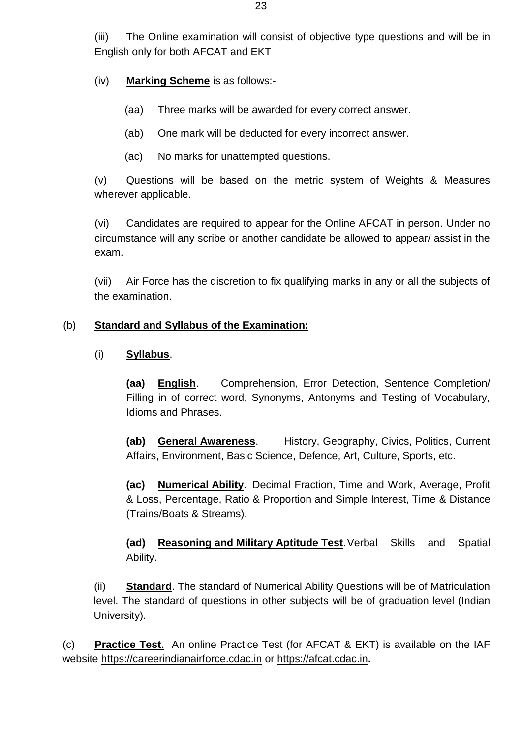(iii) The Online examination will consist of objective type questions and will be in English only for both AFCAT and EKT

(iv) **Marking Scheme** is as follows:-

- (aa) Three marks will be awarded for every correct answer.
- (ab) One mark will be deducted for every incorrect answer.
- (ac) No marks for unattempted questions.

(v) Questions will be based on the metric system of Weights & Measures wherever applicable.

(vi) Candidates are required to appear for the Online AFCAT in person. Under no circumstance will any scribe or another candidate be allowed to appear/ assist in the exam.

(vii) Air Force has the discretion to fix qualifying marks in any or all the subjects of the examination.

### (b) **Standard and Syllabus of the Examination:**

### (i) **Syllabus**.

**(aa) English**. Comprehension, Error Detection, Sentence Completion/ Filling in of correct word, Synonyms, Antonyms and Testing of Vocabulary, Idioms and Phrases.

**(ab) General Awareness**. History, Geography, Civics, Politics, Current Affairs, Environment, Basic Science, Defence, Art, Culture, Sports, etc.

**(ac) Numerical Ability**. Decimal Fraction, Time and Work, Average, Profit & Loss, Percentage, Ratio & Proportion and Simple Interest, Time & Distance (Trains/Boats & Streams).

**(ad) Reasoning and Military Aptitude Test**.Verbal Skills and Spatial Ability.

(ii) **Standard**. The standard of Numerical Ability Questions will be of Matriculation level. The standard of questions in other subjects will be of graduation level (Indian University).

(c) **Practice Test**. An online Practice Test (for AFCAT & EKT) is available on the IAF website [https://careerindianairforce.cdac.in](https://careerindianairforce.cdac.in/) or [https://afcat.cdac.in](https://afcat.cdac.in/)**.**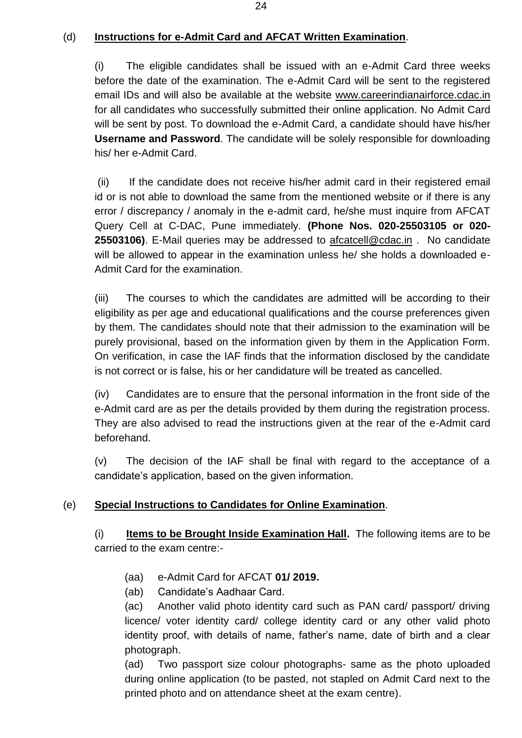## (d) **Instructions for e-Admit Card and AFCAT Written Examination**.

(i) The eligible candidates shall be issued with an e-Admit Card three weeks before the date of the examination. The e-Admit Card will be sent to the registered email IDs and will also be available at the website [www.careerindianairforce.cdac.in](http://www.careerindianairforce.cdac.in/) for all candidates who successfully submitted their online application. No Admit Card will be sent by post. To download the e-Admit Card, a candidate should have his/her **Username and Password**. The candidate will be solely responsible for downloading his/ her e-Admit Card.

(ii) If the candidate does not receive his/her admit card in their registered email id or is not able to download the same from the mentioned website or if there is any error / discrepancy / anomaly in the e-admit card, he/she must inquire from AFCAT Query Cell at C-DAC, Pune immediately. **(Phone Nos. 020-25503105 or 020- 25503106)**. E-Mail queries may be addressed to [afcatcell@cdac.in](mailto:afcatcell@cdac.in) . No candidate will be allowed to appear in the examination unless he/ she holds a downloaded e-Admit Card for the examination.

(iii) The courses to which the candidates are admitted will be according to their eligibility as per age and educational qualifications and the course preferences given by them. The candidates should note that their admission to the examination will be purely provisional, based on the information given by them in the Application Form. On verification, in case the IAF finds that the information disclosed by the candidate is not correct or is false, his or her candidature will be treated as cancelled.

(iv) Candidates are to ensure that the personal information in the front side of the e-Admit card are as per the details provided by them during the registration process. They are also advised to read the instructions given at the rear of the e-Admit card beforehand.

(v) The decision of the IAF shall be final with regard to the acceptance of a candidate's application, based on the given information.

# (e) **Special Instructions to Candidates for Online Examination**.

(i) **Items to be Brought Inside Examination Hall.** The following items are to be carried to the exam centre:-

- (aa) e-Admit Card for AFCAT **01/ 2019.**
- (ab) Candidate's Aadhaar Card.

(ac) Another valid photo identity card such as PAN card/ passport/ driving licence/ voter identity card/ college identity card or any other valid photo identity proof, with details of name, father's name, date of birth and a clear photograph.

(ad) Two passport size colour photographs- same as the photo uploaded during online application (to be pasted, not stapled on Admit Card next to the printed photo and on attendance sheet at the exam centre).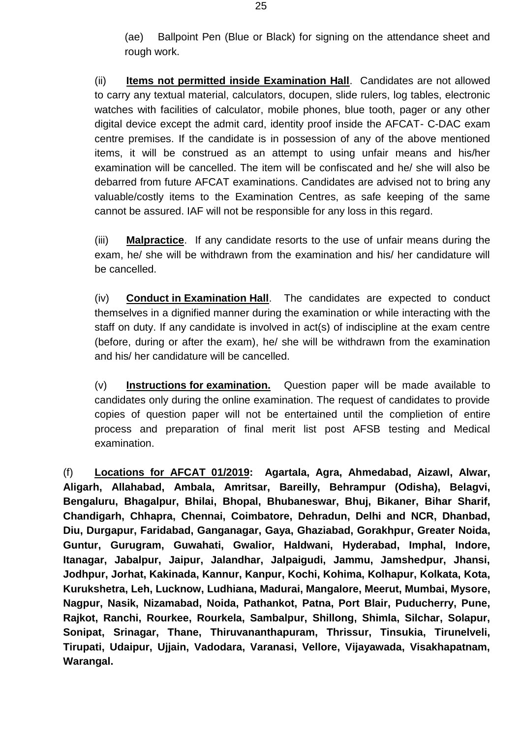(ae) Ballpoint Pen (Blue or Black) for signing on the attendance sheet and rough work.

(ii) **Items not permitted inside Examination Hall**. Candidates are not allowed to carry any textual material, calculators, docupen, slide rulers, log tables, electronic watches with facilities of calculator, mobile phones, blue tooth, pager or any other digital device except the admit card, identity proof inside the AFCAT- C-DAC exam centre premises. If the candidate is in possession of any of the above mentioned items, it will be construed as an attempt to using unfair means and his/her examination will be cancelled. The item will be confiscated and he/ she will also be debarred from future AFCAT examinations. Candidates are advised not to bring any valuable/costly items to the Examination Centres, as safe keeping of the same cannot be assured. IAF will not be responsible for any loss in this regard.

(iii) **Malpractice**. If any candidate resorts to the use of unfair means during the exam, he/ she will be withdrawn from the examination and his/ her candidature will be cancelled.

(iv) **Conduct in Examination Hall**. The candidates are expected to conduct themselves in a dignified manner during the examination or while interacting with the staff on duty. If any candidate is involved in act(s) of indiscipline at the exam centre (before, during or after the exam), he/ she will be withdrawn from the examination and his/ her candidature will be cancelled.

(v) **Instructions for examination.** Question paper will be made available to candidates only during the online examination. The request of candidates to provide copies of question paper will not be entertained until the complietion of entire process and preparation of final merit list post AFSB testing and Medical examination.

(f) **Locations for AFCAT 01/2019: Agartala, Agra, Ahmedabad, Aizawl, Alwar, Aligarh, Allahabad, Ambala, Amritsar, Bareilly, Behrampur (Odisha), Belagvi, Bengaluru, Bhagalpur, Bhilai, Bhopal, Bhubaneswar, Bhuj, Bikaner, Bihar Sharif, Chandigarh, Chhapra, Chennai, Coimbatore, Dehradun, Delhi and NCR, Dhanbad, Diu, Durgapur, Faridabad, Ganganagar, Gaya, Ghaziabad, Gorakhpur, Greater Noida, Guntur, Gurugram, Guwahati, Gwalior, Haldwani, Hyderabad, Imphal, Indore, Itanagar, Jabalpur, Jaipur, Jalandhar, Jalpaigudi, Jammu, Jamshedpur, Jhansi, Jodhpur, Jorhat, Kakinada, Kannur, Kanpur, Kochi, Kohima, Kolhapur, Kolkata, Kota, Kurukshetra, Leh, Lucknow, Ludhiana, Madurai, Mangalore, Meerut, Mumbai, Mysore, Nagpur, Nasik, Nizamabad, Noida, Pathankot, Patna, Port Blair, Puducherry, Pune, Rajkot, Ranchi, Rourkee, Rourkela, Sambalpur, Shillong, Shimla, Silchar, Solapur, Sonipat, Srinagar, Thane, Thiruvananthapuram, Thrissur, Tinsukia, Tirunelveli, Tirupati, Udaipur, Ujjain, Vadodara, Varanasi, Vellore, Vijayawada, Visakhapatnam, Warangal.**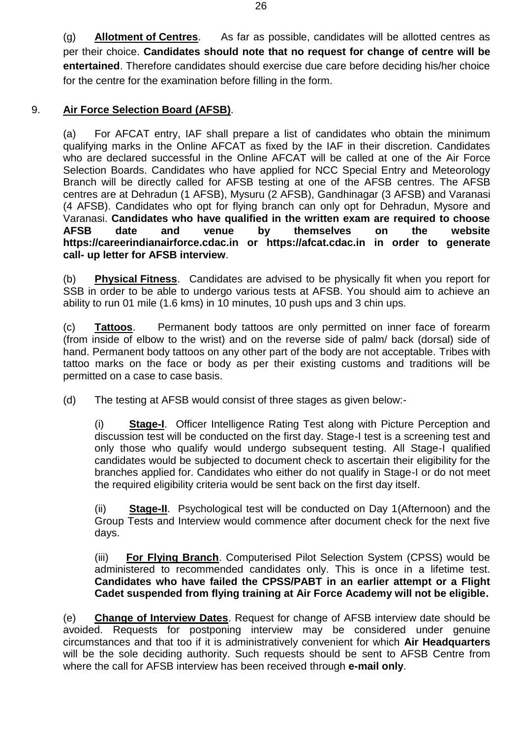(g) **Allotment of Centres**. As far as possible, candidates will be allotted centres as per their choice. **Candidates should note that no request for change of centre will be entertained**. Therefore candidates should exercise due care before deciding his/her choice for the centre for the examination before filling in the form.

## 9. **Air Force Selection Board (AFSB)**.

(a) For AFCAT entry, IAF shall prepare a list of candidates who obtain the minimum qualifying marks in the Online AFCAT as fixed by the IAF in their discretion. Candidates who are declared successful in the Online AFCAT will be called at one of the Air Force Selection Boards. Candidates who have applied for NCC Special Entry and Meteorology Branch will be directly called for AFSB testing at one of the AFSB centres. The AFSB centres are at Dehradun (1 AFSB), Mysuru (2 AFSB), Gandhinagar (3 AFSB) and Varanasi (4 AFSB). Candidates who opt for flying branch can only opt for Dehradun, Mysore and Varanasi. **Candidates who have qualified in the written exam are required to choose AFSB date and venue by themselves on the website [https://careerindianairforce.cdac.in](https://careerindianairforce.cdac.in/) or https://afcat.cdac.in in order to generate call- up letter for AFSB interview**.

(b) **Physical Fitness**. Candidates are advised to be physically fit when you report for SSB in order to be able to undergo various tests at AFSB. You should aim to achieve an ability to run 01 mile (1.6 kms) in 10 minutes, 10 push ups and 3 chin ups.

(c) **Tattoos**. Permanent body tattoos are only permitted on inner face of forearm (from inside of elbow to the wrist) and on the reverse side of palm/ back (dorsal) side of hand. Permanent body tattoos on any other part of the body are not acceptable. Tribes with tattoo marks on the face or body as per their existing customs and traditions will be permitted on a case to case basis.

(d) The testing at AFSB would consist of three stages as given below:-

(i) **Stage-I**. Officer Intelligence Rating Test along with Picture Perception and discussion test will be conducted on the first day. Stage-I test is a screening test and only those who qualify would undergo subsequent testing. All Stage-I qualified candidates would be subjected to document check to ascertain their eligibility for the branches applied for. Candidates who either do not qualify in Stage-I or do not meet the required eligibility criteria would be sent back on the first day itself.

**Stage-II.** Psychological test will be conducted on Day 1(Afternoon) and the Group Tests and Interview would commence after document check for the next five days.

(iii) **For Flying Branch**. Computerised Pilot Selection System (CPSS) would be administered to recommended candidates only. This is once in a lifetime test. **Candidates who have failed the CPSS/PABT in an earlier attempt or a Flight Cadet suspended from flying training at Air Force Academy will not be eligible.**

(e) **Change of Interview Dates**. Request for change of AFSB interview date should be avoided. Requests for postponing interview may be considered under genuine circumstances and that too if it is administratively convenient for which **Air Headquarters** will be the sole deciding authority. Such requests should be sent to AFSB Centre from where the call for AFSB interview has been received through **e-mail only**.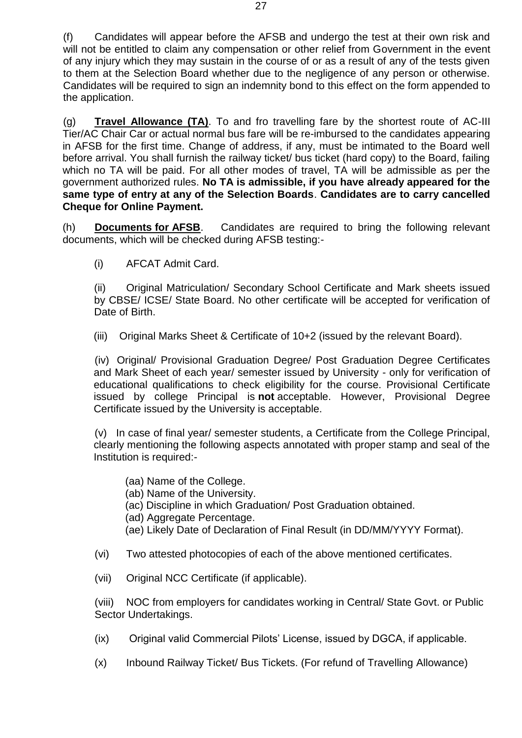(f) Candidates will appear before the AFSB and undergo the test at their own risk and will not be entitled to claim any compensation or other relief from Government in the event of any injury which they may sustain in the course of or as a result of any of the tests given to them at the Selection Board whether due to the negligence of any person or otherwise. Candidates will be required to sign an indemnity bond to this effect on the form appended to the application.

(g) **Travel Allowance (TA)**. To and fro travelling fare by the shortest route of AC-III Tier/AC Chair Car or actual normal bus fare will be re-imbursed to the candidates appearing in AFSB for the first time. Change of address, if any, must be intimated to the Board well before arrival. You shall furnish the railway ticket/ bus ticket (hard copy) to the Board, failing which no TA will be paid. For all other modes of travel, TA will be admissible as per the government authorized rules. **No TA is admissible, if you have already appeared for the same type of entry at any of the Selection Boards**. **Candidates are to carry cancelled Cheque for Online Payment.**

(h) **Documents for AFSB**. Candidates are required to bring the following relevant documents, which will be checked during AFSB testing:-

(i) AFCAT Admit Card.

(ii) Original Matriculation/ Secondary School Certificate and Mark sheets issued by CBSE/ ICSE/ State Board. No other certificate will be accepted for verification of Date of Birth.

(iii) Original Marks Sheet & Certificate of 10+2 (issued by the relevant Board).

(iv) Original/ Provisional Graduation Degree/ Post Graduation Degree Certificates and Mark Sheet of each year/ semester issued by University - only for verification of educational qualifications to check eligibility for the course. Provisional Certificate issued by college Principal is **not** acceptable. However, Provisional Degree Certificate issued by the University is acceptable.

(v) In case of final year/ semester students, a Certificate from the College Principal, clearly mentioning the following aspects annotated with proper stamp and seal of the Institution is required:-

- (aa) Name of the College.
- (ab) Name of the University.
- (ac) Discipline in which Graduation/ Post Graduation obtained.
- (ad) Aggregate Percentage.
- (ae) Likely Date of Declaration of Final Result (in DD/MM/YYYY Format).
- (vi) Two attested photocopies of each of the above mentioned certificates.
- (vii) Original NCC Certificate (if applicable).

(viii) NOC from employers for candidates working in Central/ State Govt. or Public Sector Undertakings.

- (ix) Original valid Commercial Pilots' License, issued by DGCA, if applicable.
- (x) Inbound Railway Ticket/ Bus Tickets. (For refund of Travelling Allowance)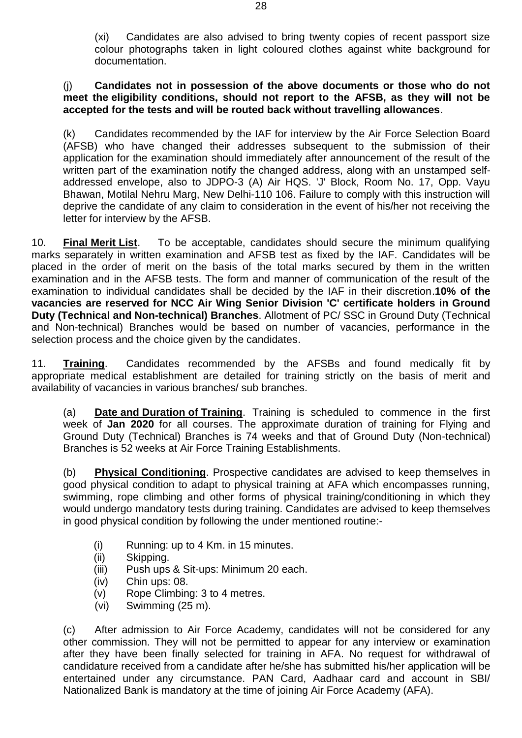(xi) Candidates are also advised to bring twenty copies of recent passport size colour photographs taken in light coloured clothes against white background for documentation.

#### (j) **Candidates not in possession of the above documents or those who do not meet the eligibility conditions, should not report to the AFSB, as they will not be accepted for the tests and will be routed back without travelling allowances**.

(k) Candidates recommended by the IAF for interview by the Air Force Selection Board (AFSB) who have changed their addresses subsequent to the submission of their application for the examination should immediately after announcement of the result of the written part of the examination notify the changed address, along with an unstamped selfaddressed envelope, also to JDPO-3 (A) Air HQS. 'J' Block, Room No. 17, Opp. Vayu Bhawan, Motilal Nehru Marg, New Delhi-110 106. Failure to comply with this instruction will deprive the candidate of any claim to consideration in the event of his/her not receiving the letter for interview by the AFSB.

10. **Final Merit List**. To be acceptable, candidates should secure the minimum qualifying marks separately in written examination and AFSB test as fixed by the IAF. Candidates will be placed in the order of merit on the basis of the total marks secured by them in the written examination and in the AFSB tests. The form and manner of communication of the result of the examination to individual candidates shall be decided by the IAF in their discretion.**10% of the vacancies are reserved for NCC Air Wing Senior Division 'C' certificate holders in Ground Duty (Technical and Non-technical) Branches**. Allotment of PC/ SSC in Ground Duty (Technical and Non-technical) Branches would be based on number of vacancies, performance in the selection process and the choice given by the candidates.

11. **Training**. Candidates recommended by the AFSBs and found medically fit by appropriate medical establishment are detailed for training strictly on the basis of merit and availability of vacancies in various branches/ sub branches.

(a) **Date and Duration of Training**. Training is scheduled to commence in the first week of **Jan 2020** for all courses. The approximate duration of training for Flying and Ground Duty (Technical) Branches is 74 weeks and that of Ground Duty (Non-technical) Branches is 52 weeks at Air Force Training Establishments.

(b) **Physical Conditioning**. Prospective candidates are advised to keep themselves in good physical condition to adapt to physical training at AFA which encompasses running, swimming, rope climbing and other forms of physical training/conditioning in which they would undergo mandatory tests during training. Candidates are advised to keep themselves in good physical condition by following the under mentioned routine:-

- (i) Running: up to 4 Km. in 15 minutes.
- (ii) Skipping.
- (iii) Push ups & Sit-ups: Minimum 20 each.
- (iv) Chin ups: 08.
- (v) Rope Climbing: 3 to 4 metres.
- (vi) Swimming (25 m).

(c) After admission to Air Force Academy, candidates will not be considered for any other commission. They will not be permitted to appear for any interview or examination after they have been finally selected for training in AFA. No request for withdrawal of candidature received from a candidate after he/she has submitted his/her application will be entertained under any circumstance. PAN Card, Aadhaar card and account in SBI/ Nationalized Bank is mandatory at the time of joining Air Force Academy (AFA).